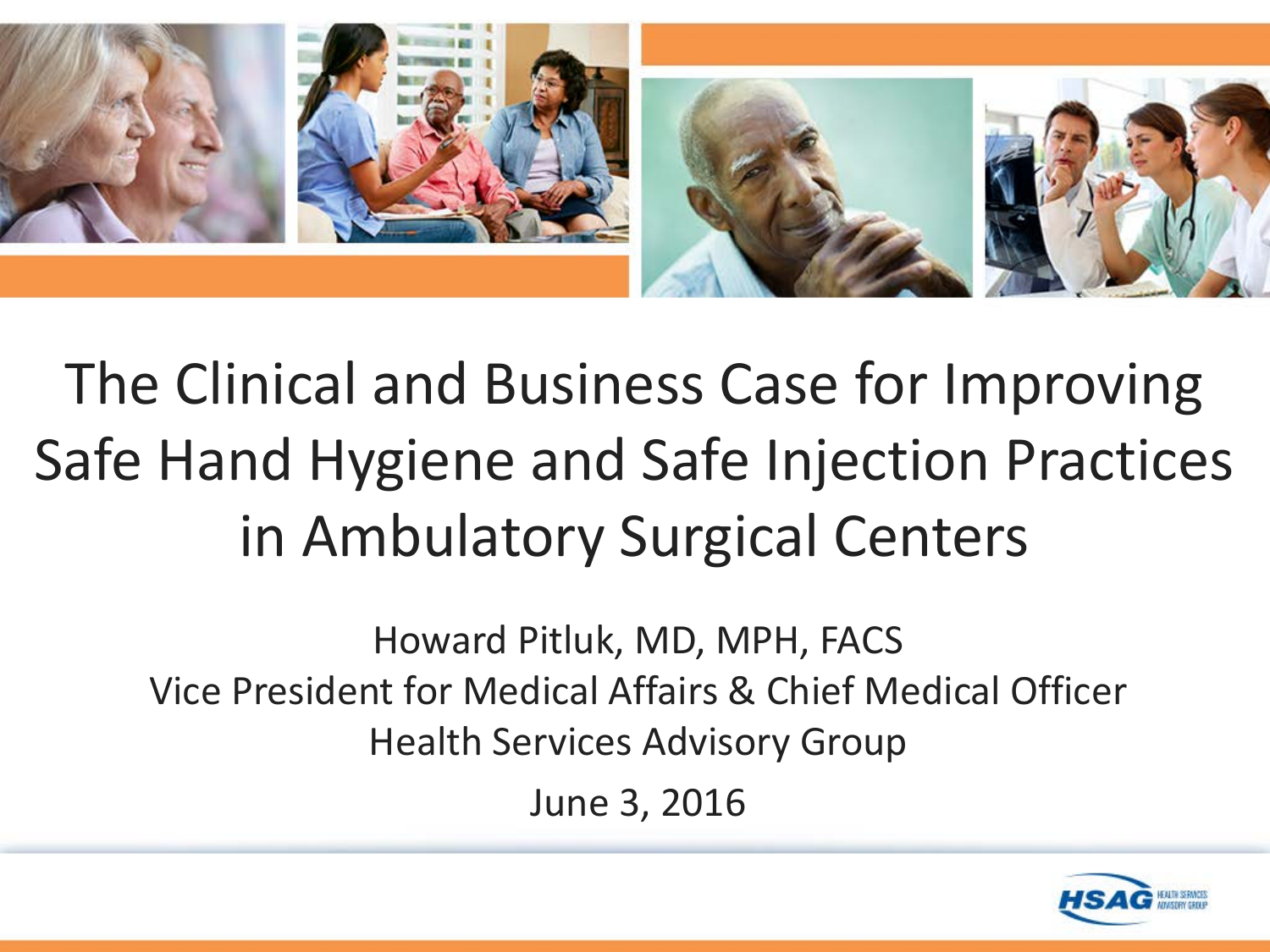

The Clinical and Business Case for Improving Safe Hand Hygiene and Safe Injection Practices in Ambulatory Surgical Centers

Howard Pitluk, MD, MPH, FACS Vice President for Medical Affairs & Chief Medical Officer Health Services Advisory Group June 3, 2016

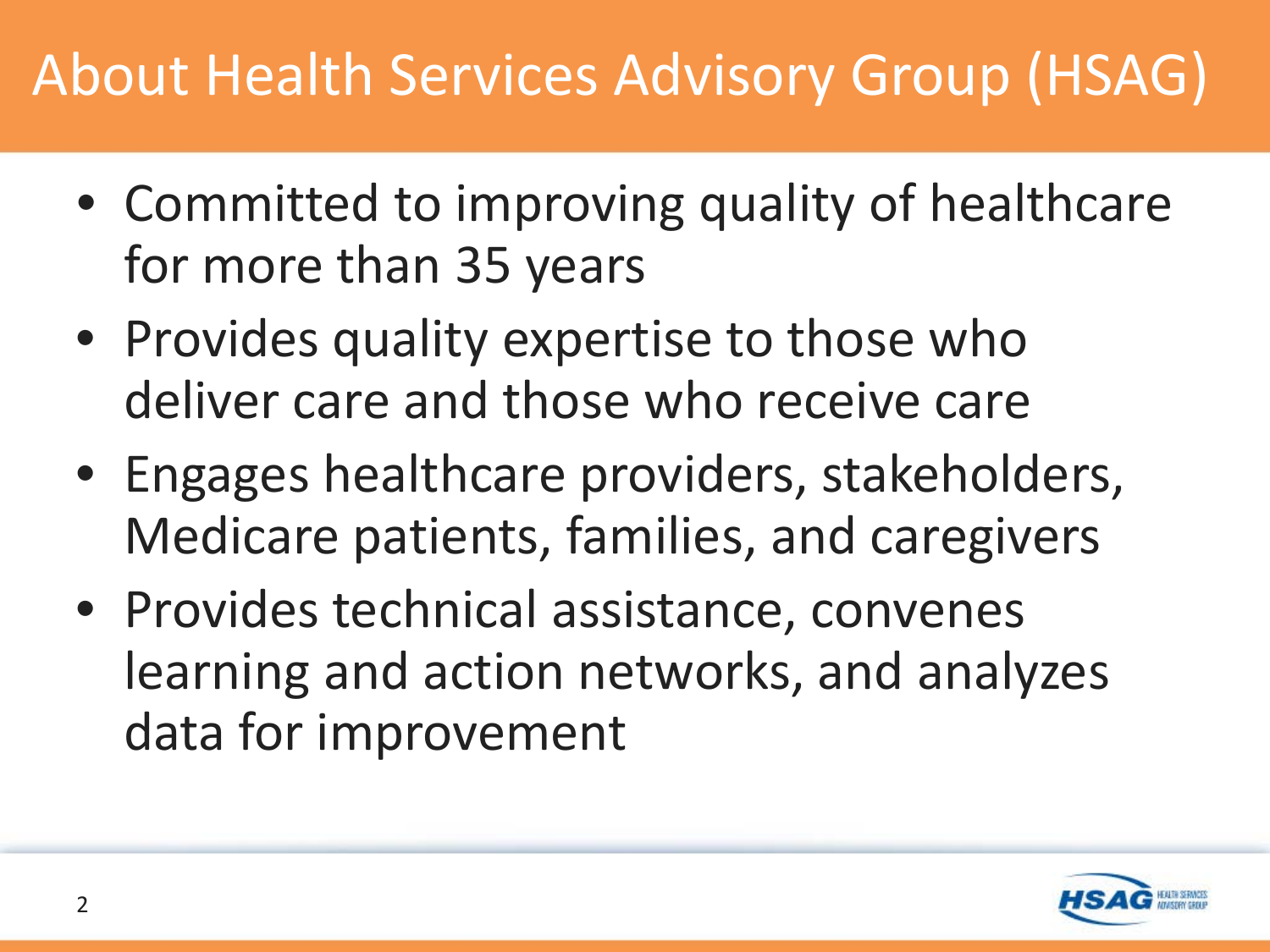## About Health Services Advisory Group (HSAG)

- Committed to improving quality of healthcare for more than 35 years
- Provides quality expertise to those who deliver care and those who receive care
- Engages healthcare providers, stakeholders, Medicare patients, families, and caregivers
- Provides technical assistance, convenes learning and action networks, and analyzes data for improvement

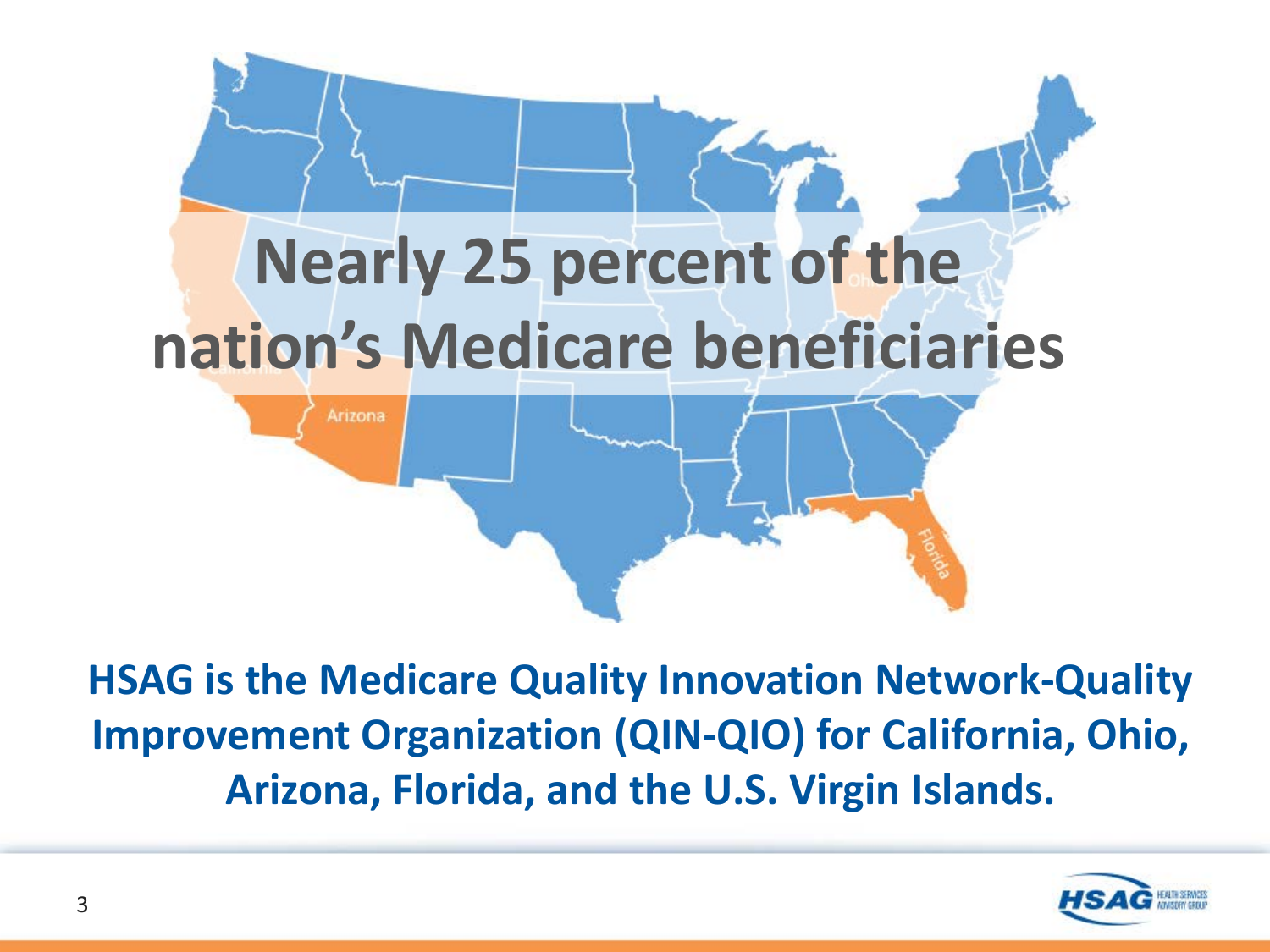

**HSAG is the Medicare Quality Innovation Network-Quality Improvement Organization (QIN-QIO) for California, Ohio, Arizona, Florida, and the U.S. Virgin Islands.** 

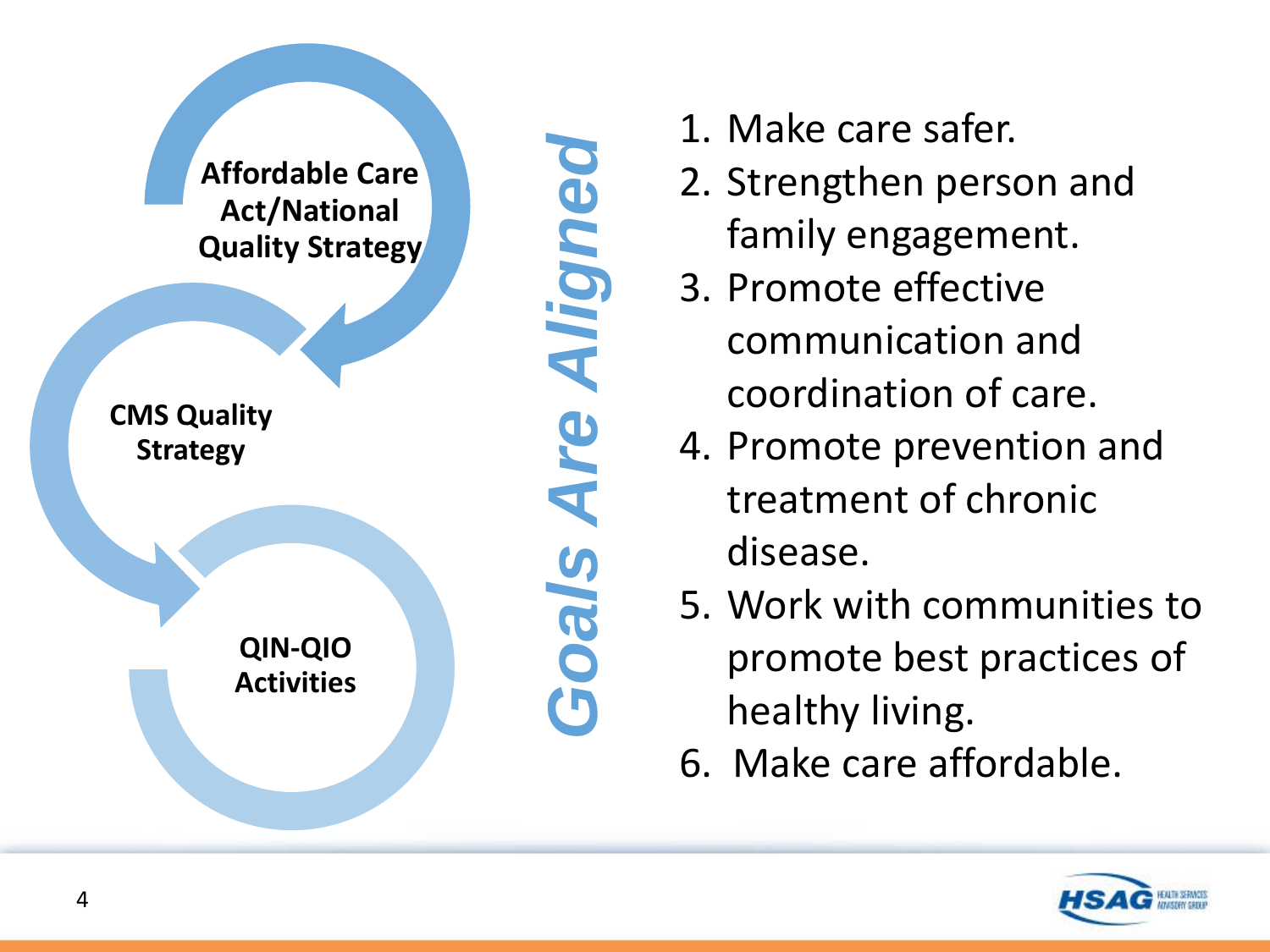

- 1. Make care safer.
- 2. Strengthen person and family engagement.
- 3. Promote effective communication and coordination of care.
- 4. Promote prevention and treatment of chronic disease.
- 5. Work with communities to promote best practices of healthy living.
- 6. Make care affordable.

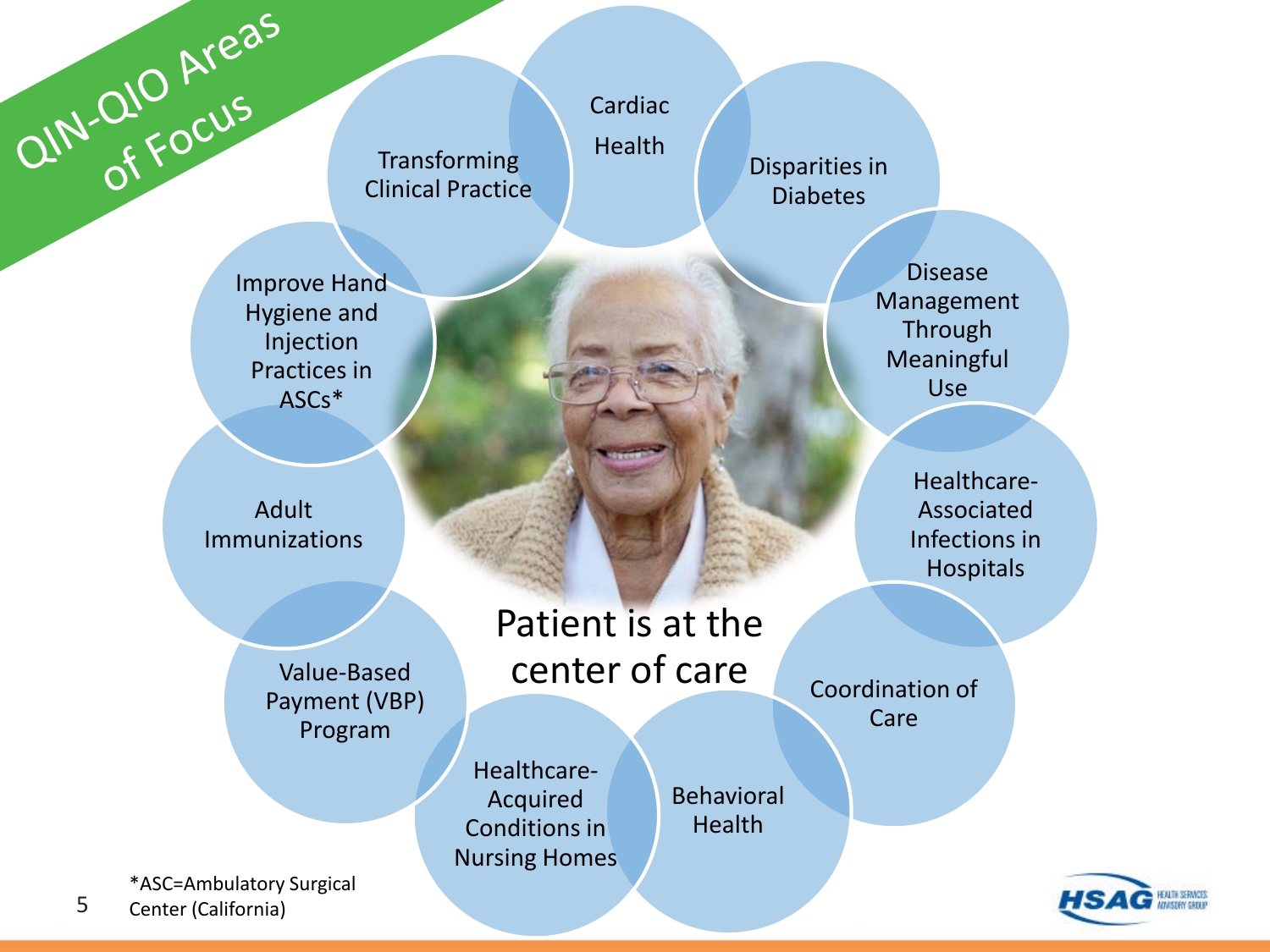

Disease Management Through Meaningful Use

> Healthcare-Associated Infections in Hospitals

Coordination of Care

5

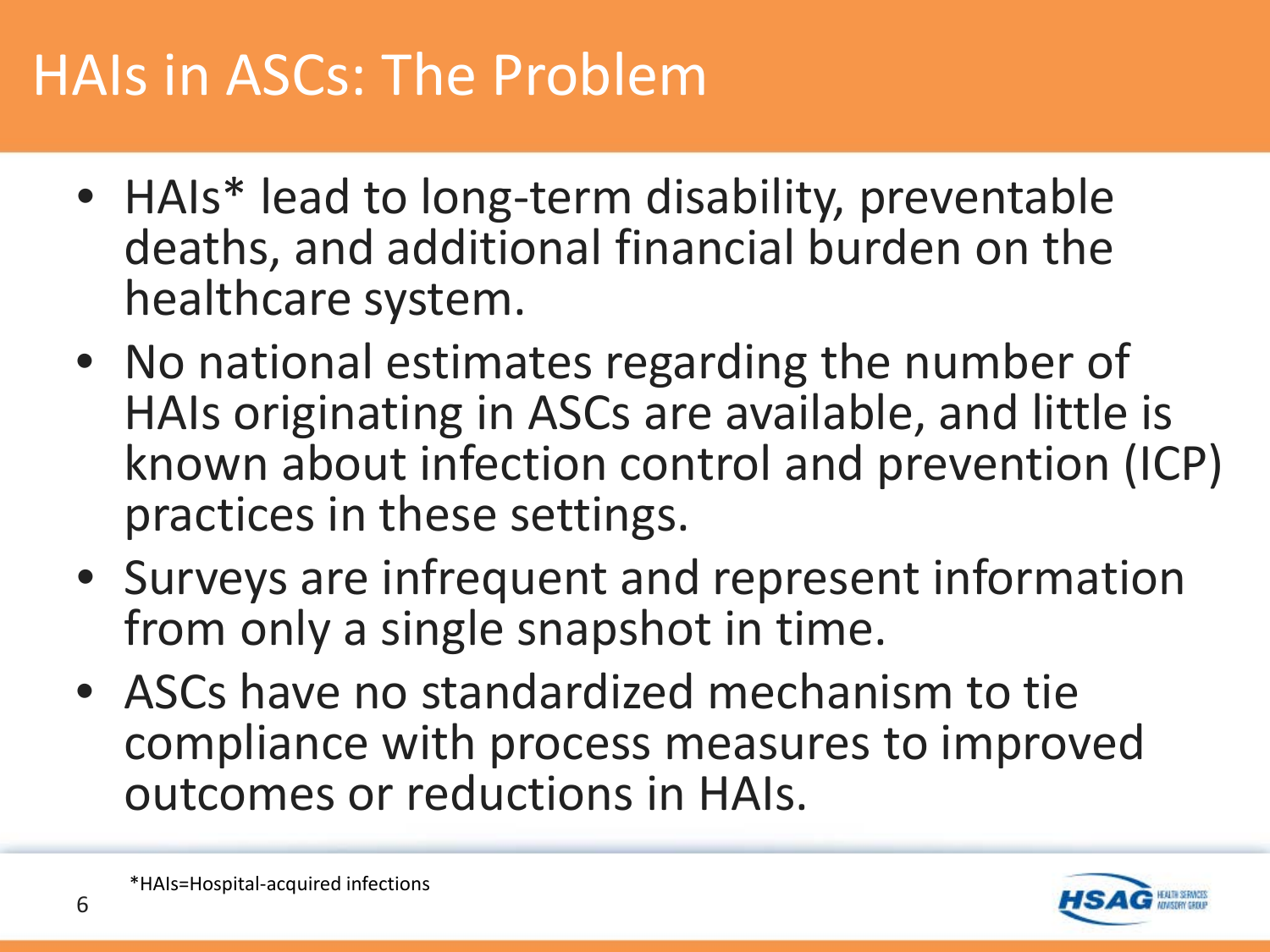#### HAIs in ASCs: The Problem

- HAIs\* lead to long-term disability, preventable deaths, and additional financial burden on the healthcare system.
- No national estimates regarding the number of HAIs originating in ASCs are available, and little is known about infection control and prevention (ICP) practices in these settings.
- Surveys are infrequent and represent information from only a single snapshot in time.
- ASCs have no standardized mechanism to tie compliance with process measures to improved outcomes or reductions in HAIs.

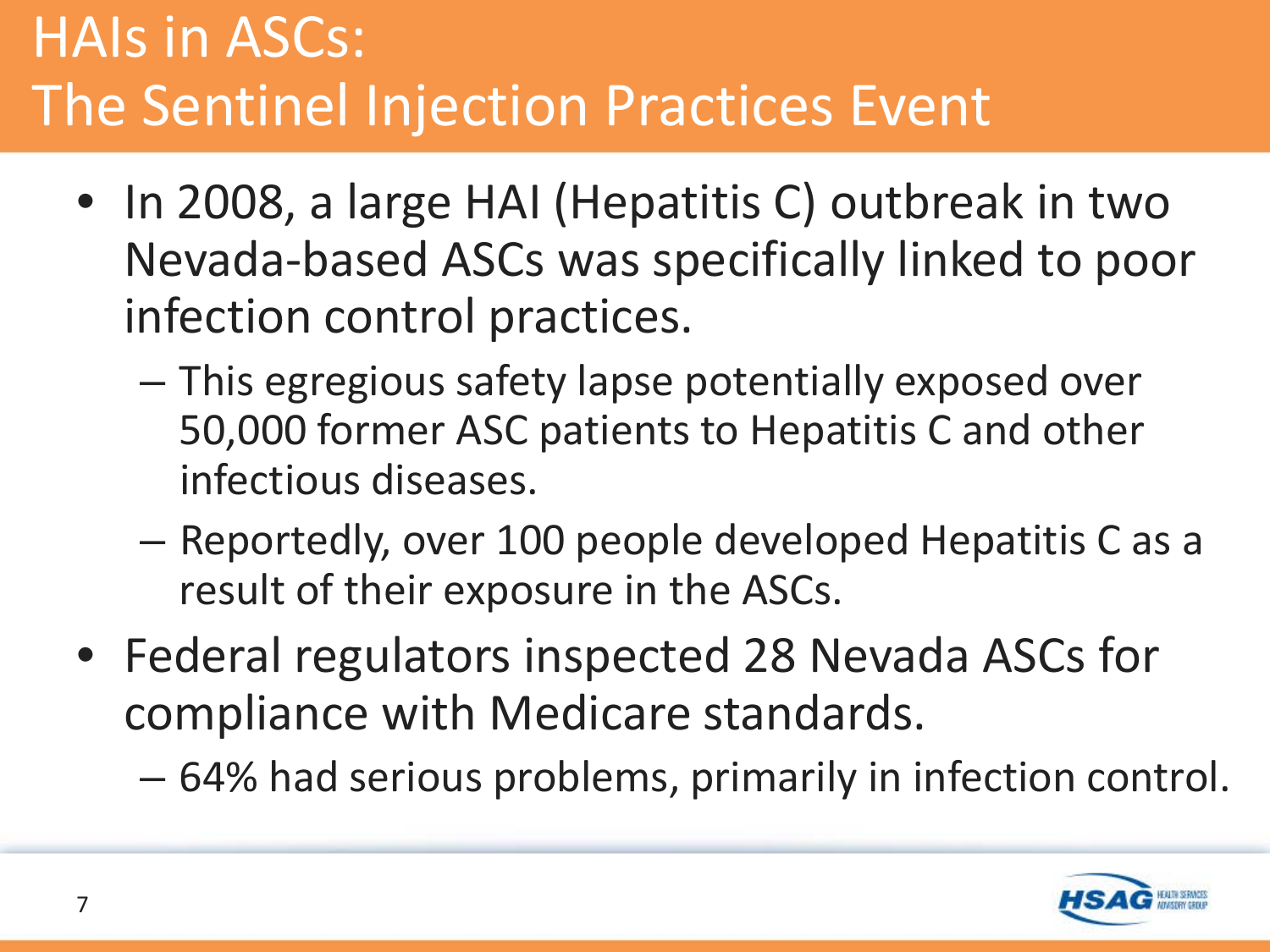### HAIs in ASCs: The Sentinel Injection Practices Event

- In 2008, a large HAI (Hepatitis C) outbreak in two Nevada-based ASCs was specifically linked to poor infection control practices.
	- This egregious safety lapse potentially exposed over 50,000 former ASC patients to Hepatitis C and other infectious diseases.
	- Reportedly, over 100 people developed Hepatitis C as a result of their exposure in the ASCs.
- Federal regulators inspected 28 Nevada ASCs for compliance with Medicare standards.
	- 64% had serious problems, primarily in infection control.

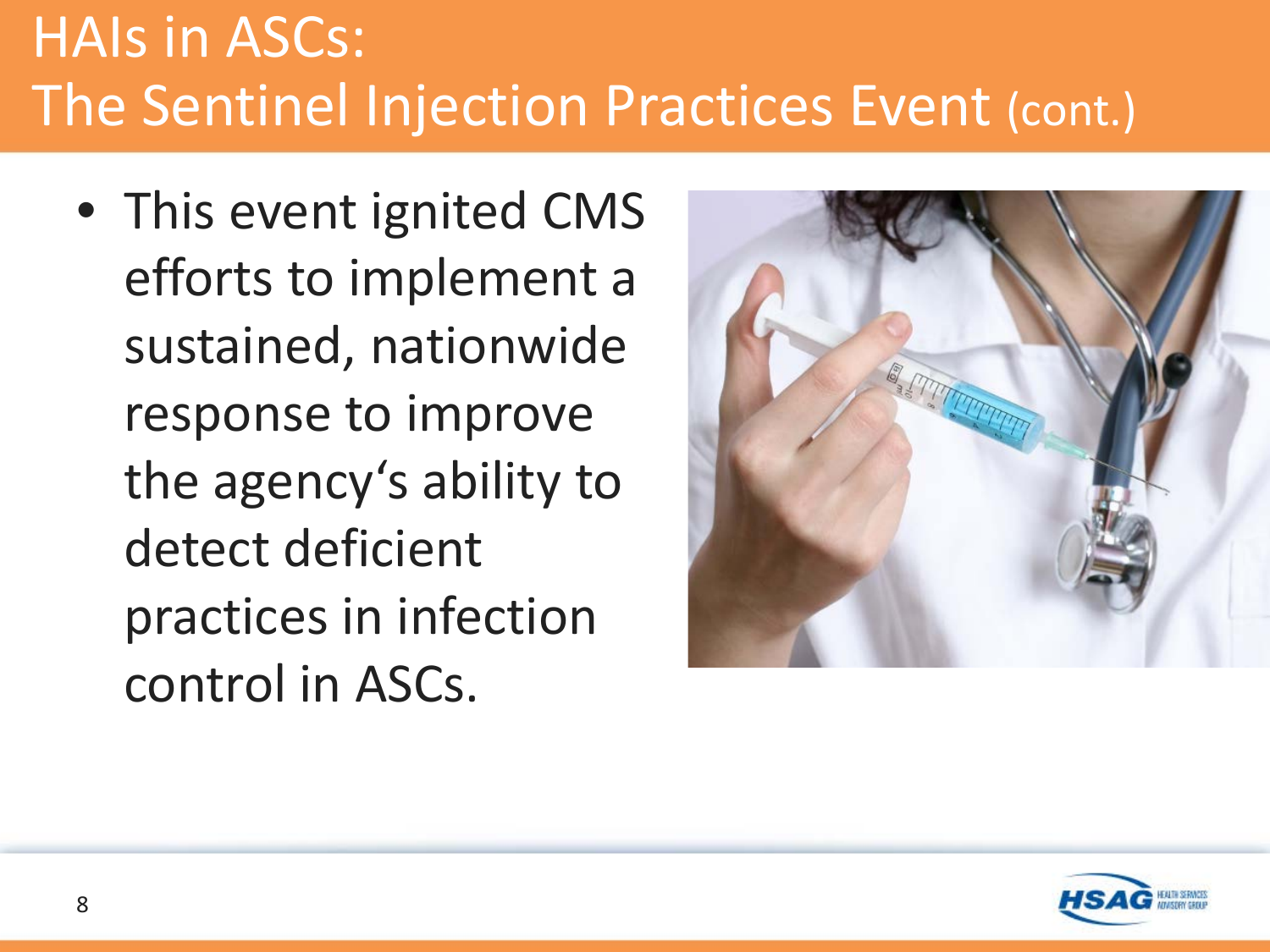## HAIs in ASCs: The Sentinel Injection Practices Event (cont.)

• This event ignited CMS efforts to implement a sustained, nationwide response to improve the agency's ability to detect deficient practices in infection control in ASCs.



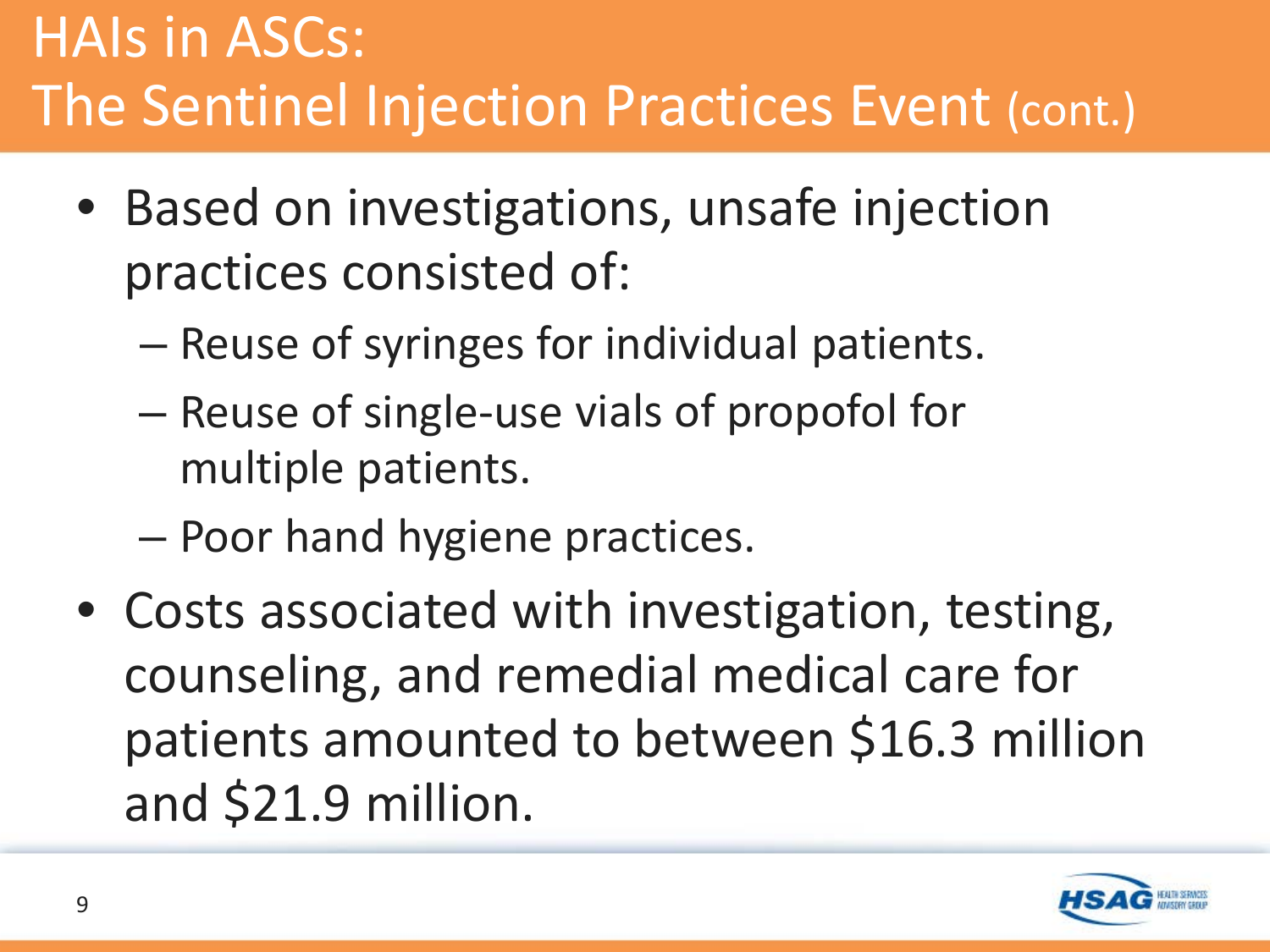### HAIs in ASCs: The Sentinel Injection Practices Event (cont.)

- Based on investigations, unsafe injection practices consisted of:
	- Reuse of syringes for individual patients.
	- Reuse of single-use vials of propofol for multiple patients.
	- Poor hand hygiene practices.
- Costs associated with investigation, testing, counseling, and remedial medical care for patients amounted to between \$16.3 million and \$21.9 million.

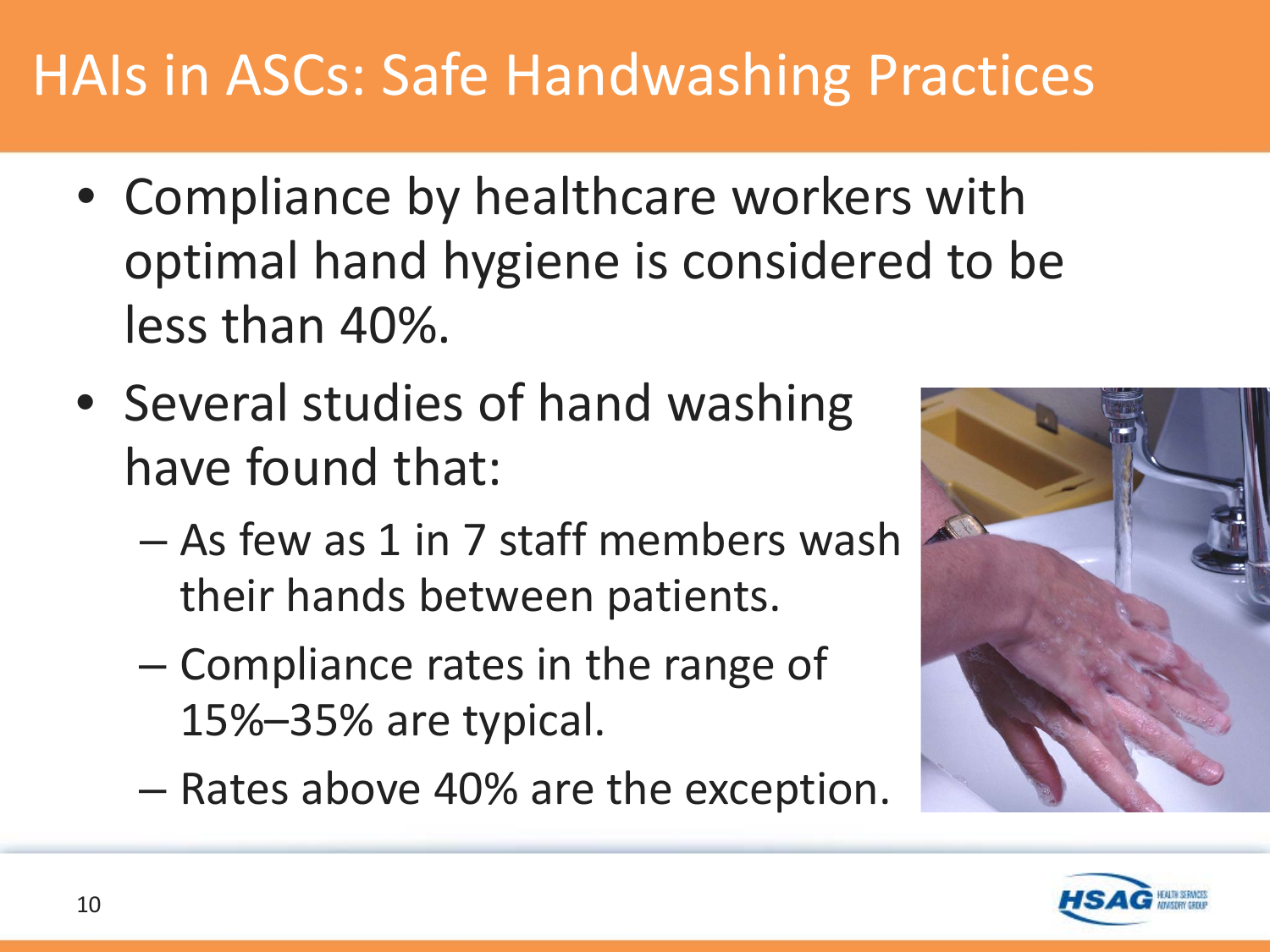## HAIs in ASCs: Safe Handwashing Practices

- Compliance by healthcare workers with optimal hand hygiene is considered to be less than 40%.
- Several studies of hand washing have found that:
	- As few as 1 in 7 staff members wash their hands between patients.
	- Compliance rates in the range of 15%–35% are typical.
	- Rates above 40% are the exception.



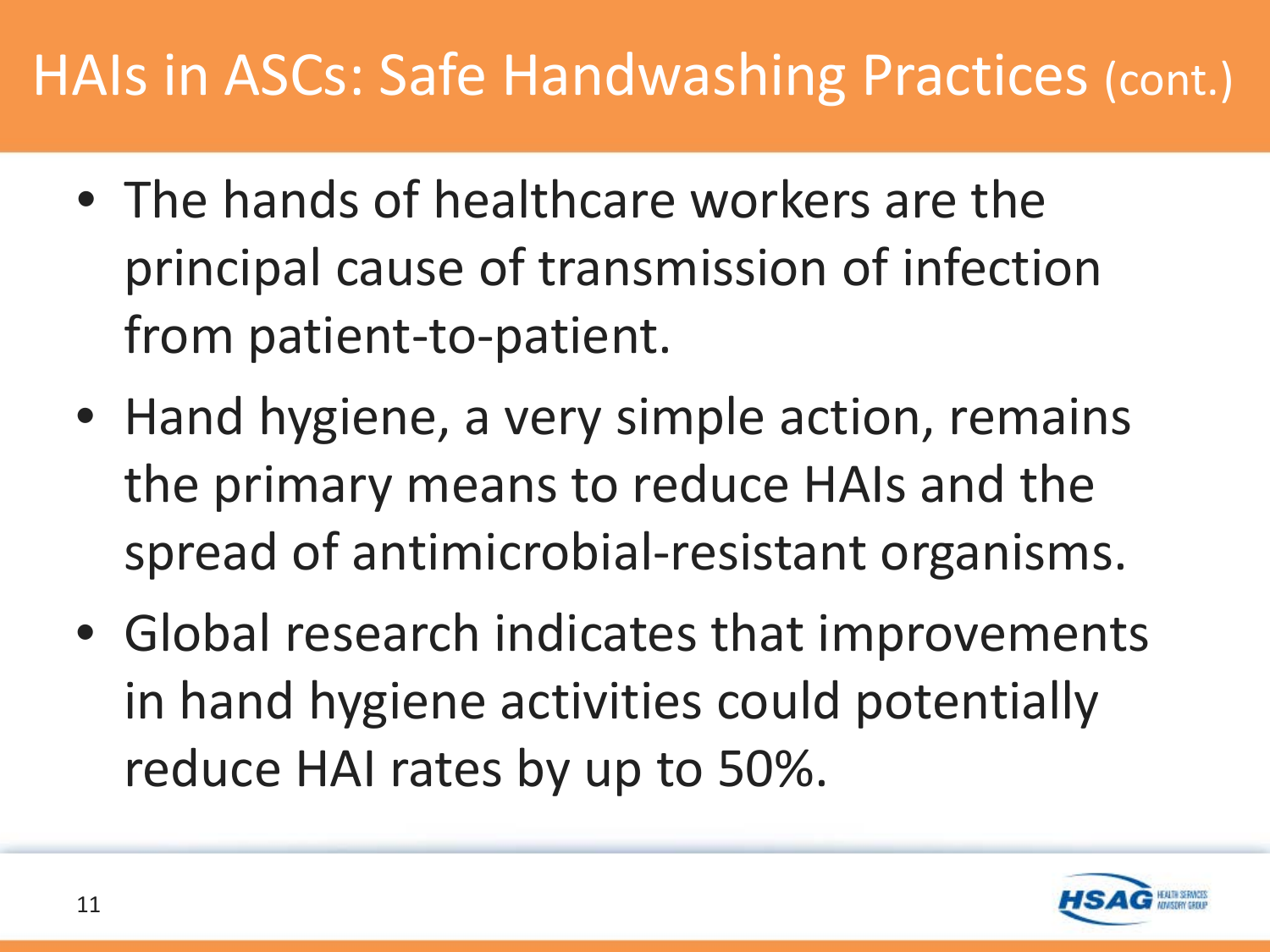#### HAIs in ASCs: Safe Handwashing Practices (cont.)

- The hands of healthcare workers are the principal cause of transmission of infection from patient-to-patient.
- Hand hygiene, a very simple action, remains the primary means to reduce HAIs and the spread of antimicrobial-resistant organisms.
- Global research indicates that improvements in hand hygiene activities could potentially reduce HAI rates by up to 50%.

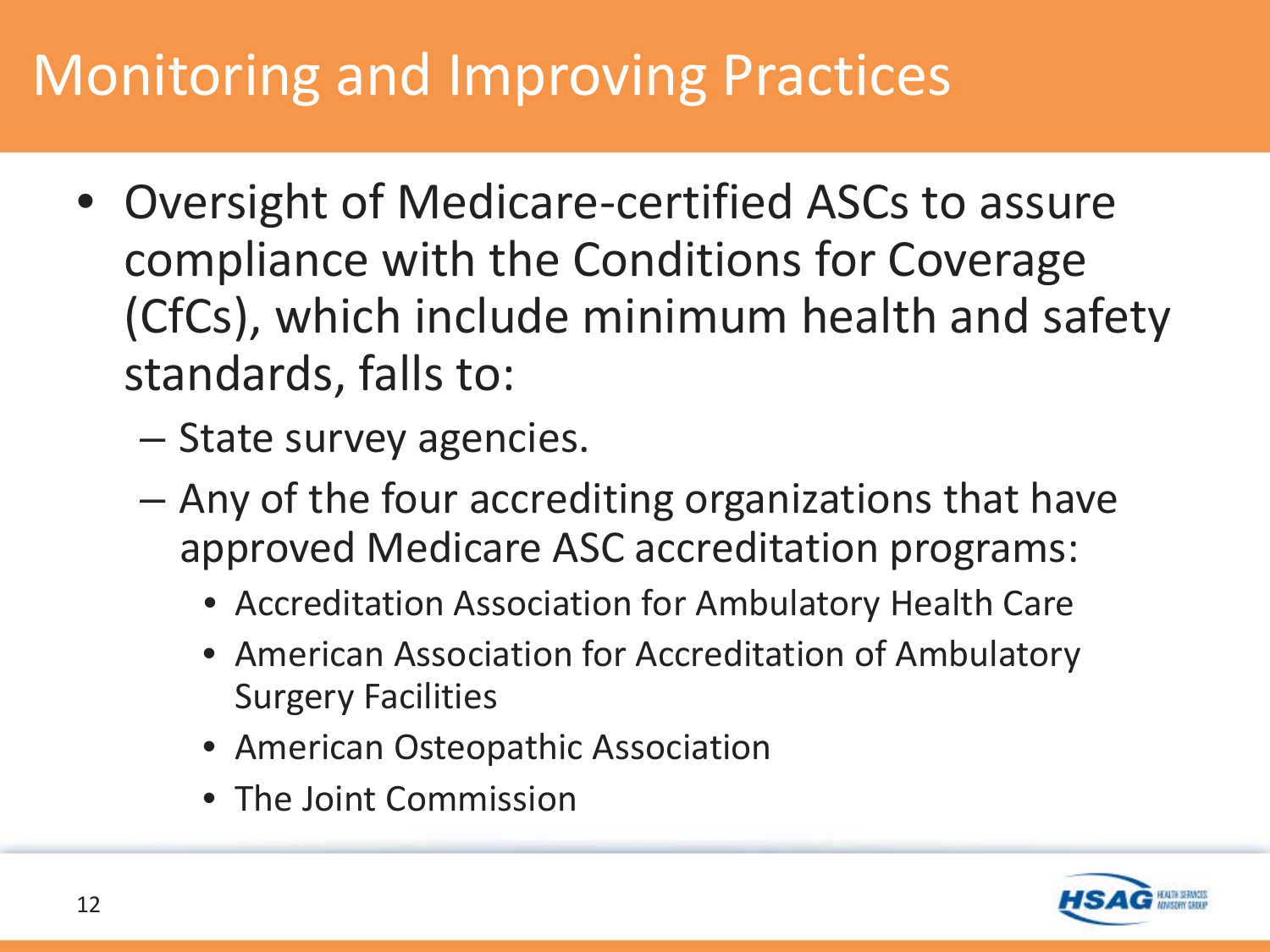## Monitoring and Improving Practices

- Oversight of Medicare-certified ASCs to assure compliance with the Conditions for Coverage (CfCs), which include minimum health and safety standards, falls to:
	- State survey agencies.
	- Any of the four accrediting organizations that have approved Medicare ASC accreditation programs:
		- Accreditation Association for Ambulatory Health Care
		- American Association for Accreditation of Ambulatory Surgery Facilities
		- American Osteopathic Association
		- The Joint Commission

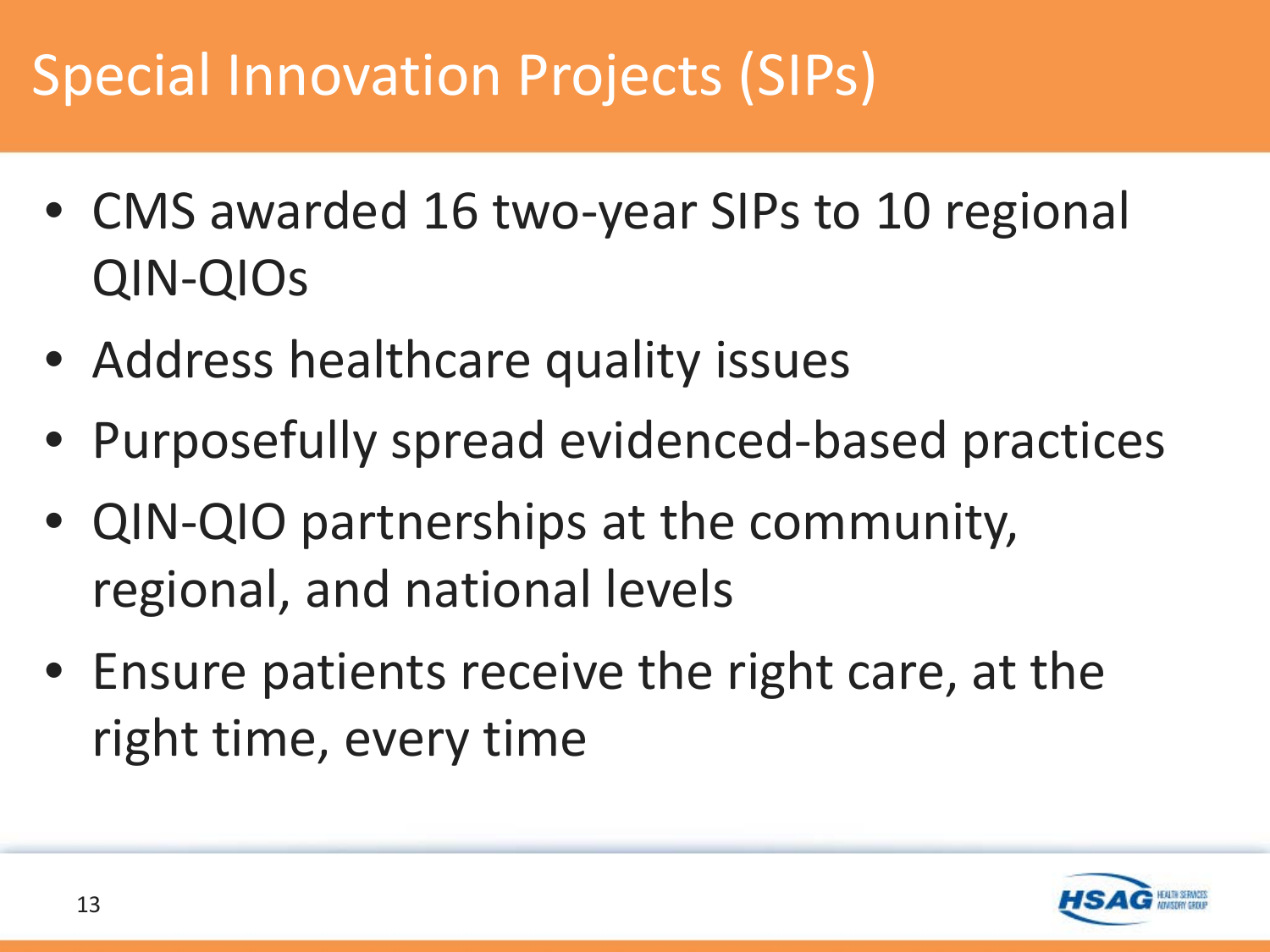## Special Innovation Projects (SIPs)

- CMS awarded 16 two-year SIPs to 10 regional QIN-QIOs
- Address healthcare quality issues
- Purposefully spread evidenced-based practices
- QIN-QIO partnerships at the community, regional, and national levels
- Ensure patients receive the right care, at the right time, every time

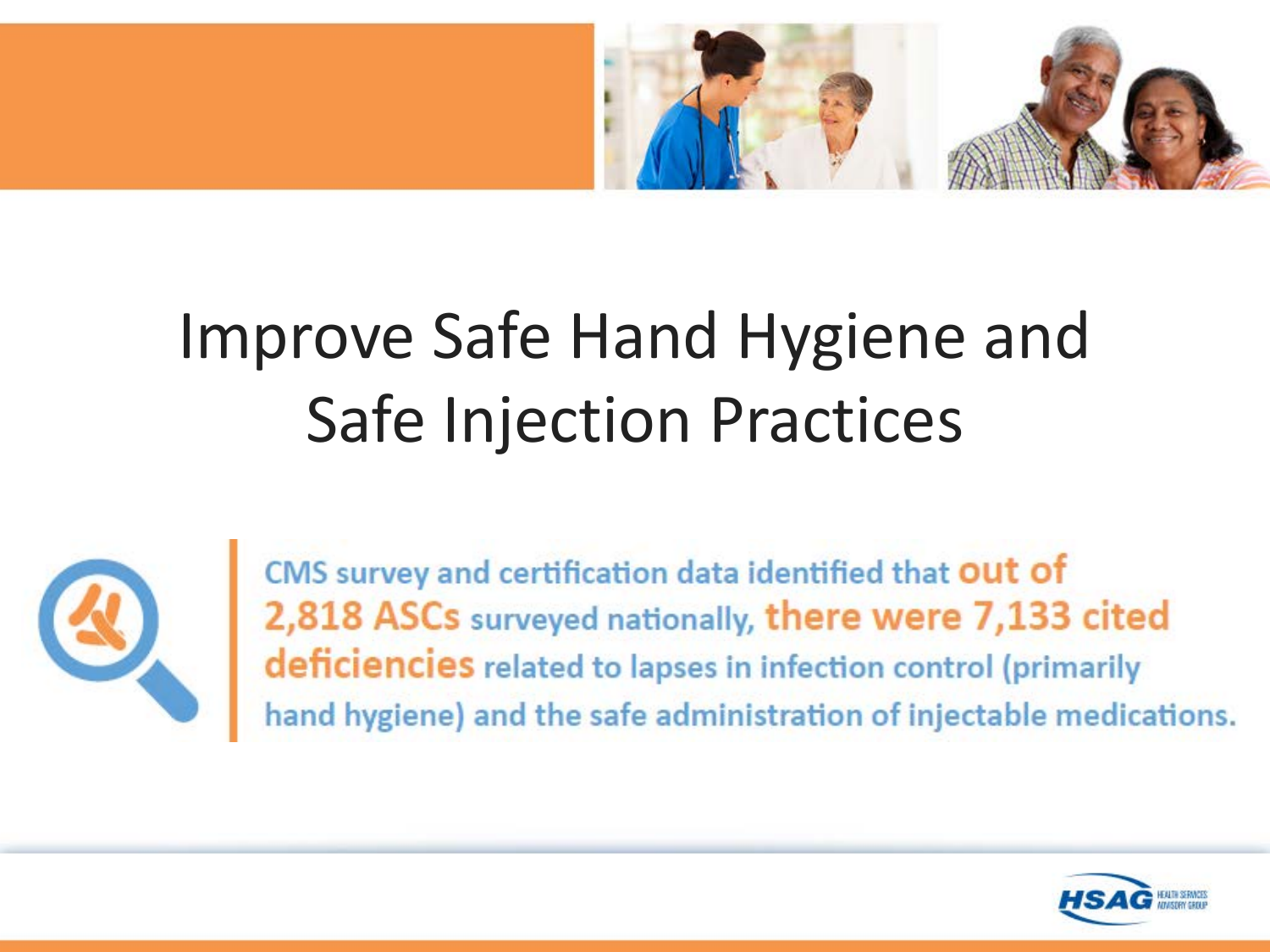

## Improve Safe Hand Hygiene and Safe Injection Practices



CMS survey and certification data identified that out of 2,818 ASCs surveyed nationally, there were 7,133 cited deficiencies related to lapses in infection control (primarily hand hygiene) and the safe administration of injectable medications.

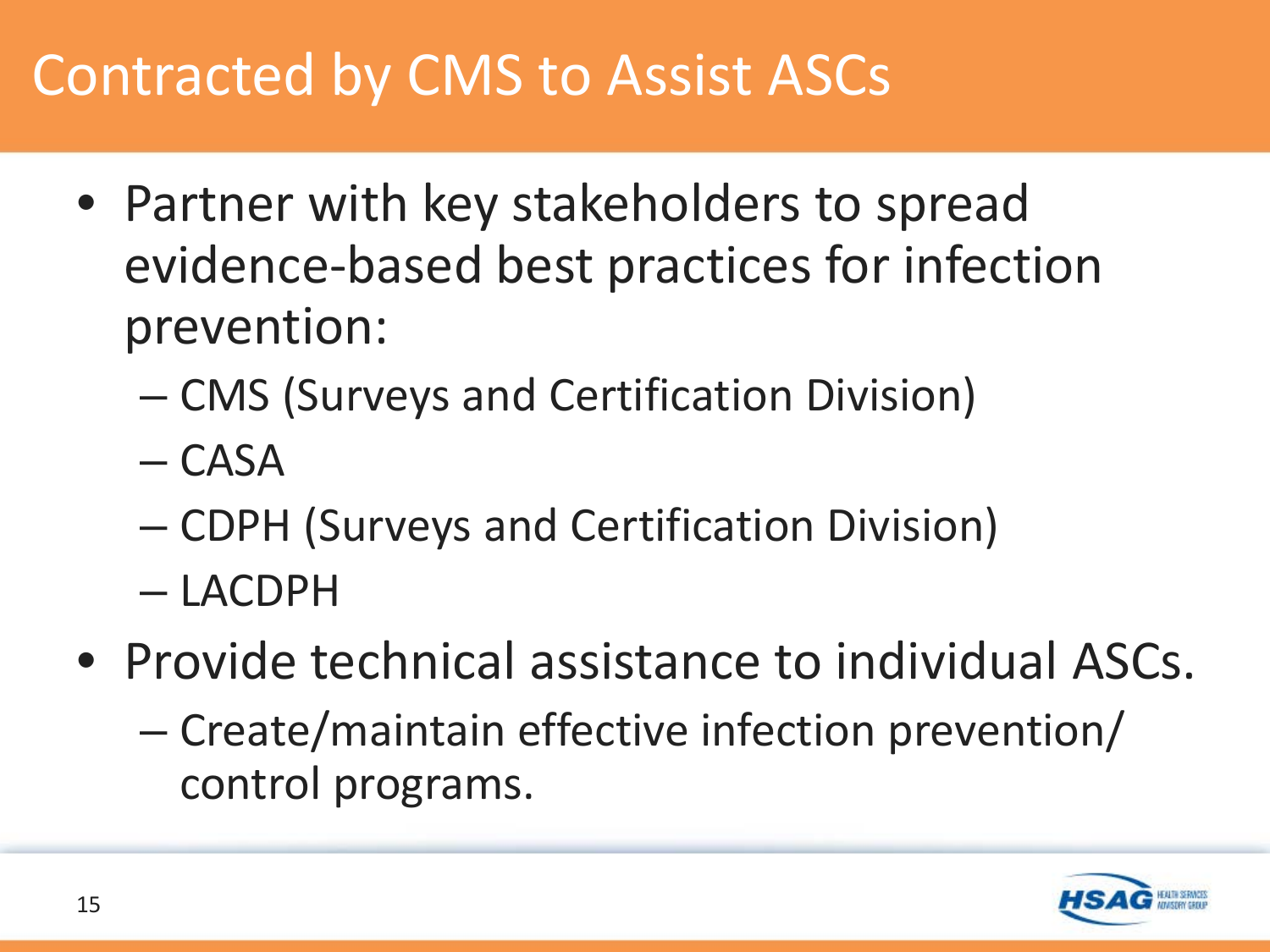#### Contracted by CMS to Assist ASCs

- Partner with key stakeholders to spread evidence-based best practices for infection prevention:
	- CMS (Surveys and Certification Division)
	- CASA
	- CDPH (Surveys and Certification Division)
	- LACDPH
- Provide technical assistance to individual ASCs.
	- Create/maintain effective infection prevention/ control programs.

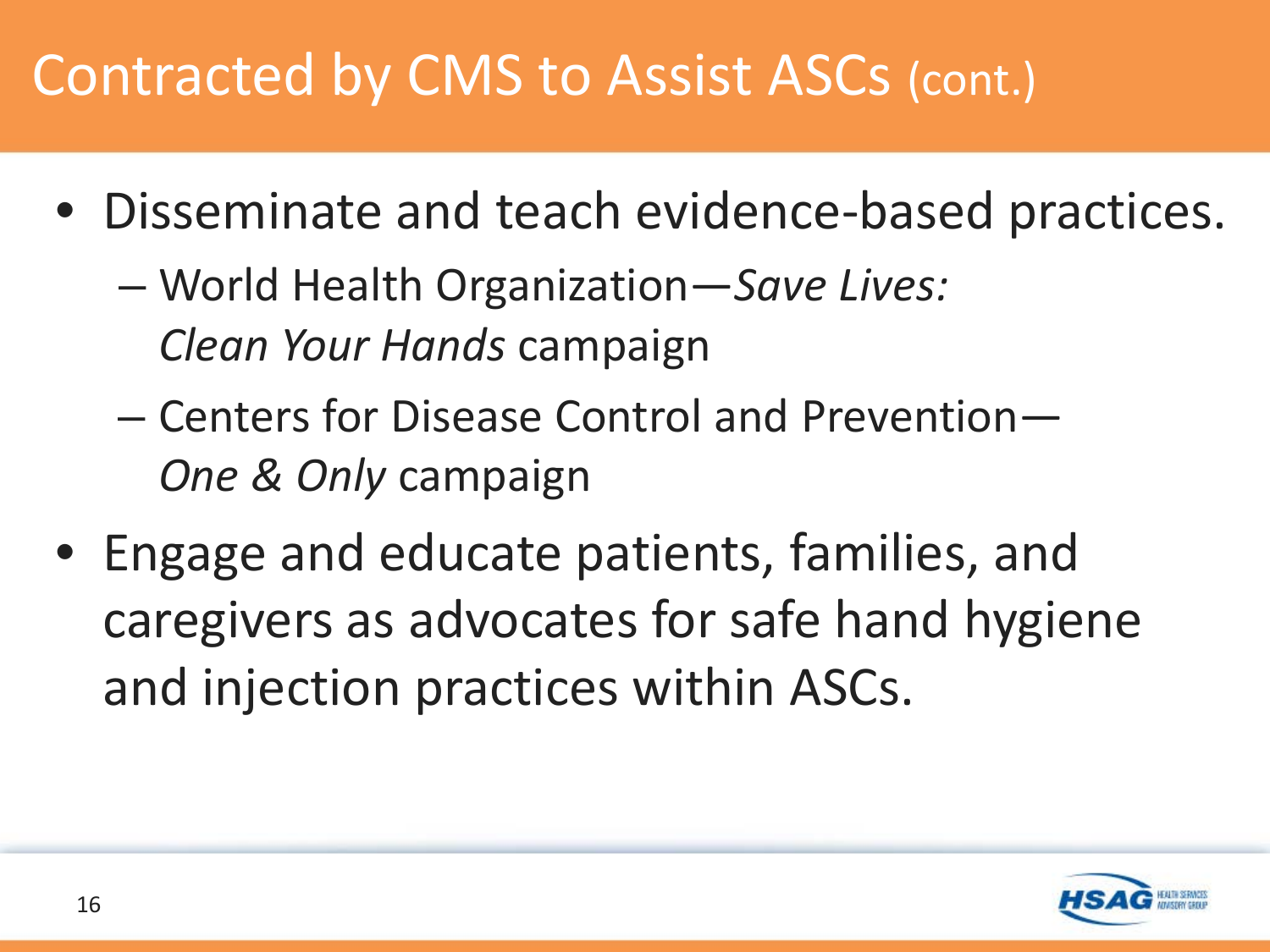## Contracted by CMS to Assist ASCs (cont.)

- Disseminate and teach evidence-based practices.
	- World Health Organization—*Save Lives: Clean Your Hands* campaign
	- Centers for Disease Control and Prevention— *One & Only* campaign
- Engage and educate patients, families, and caregivers as advocates for safe hand hygiene and injection practices within ASCs.

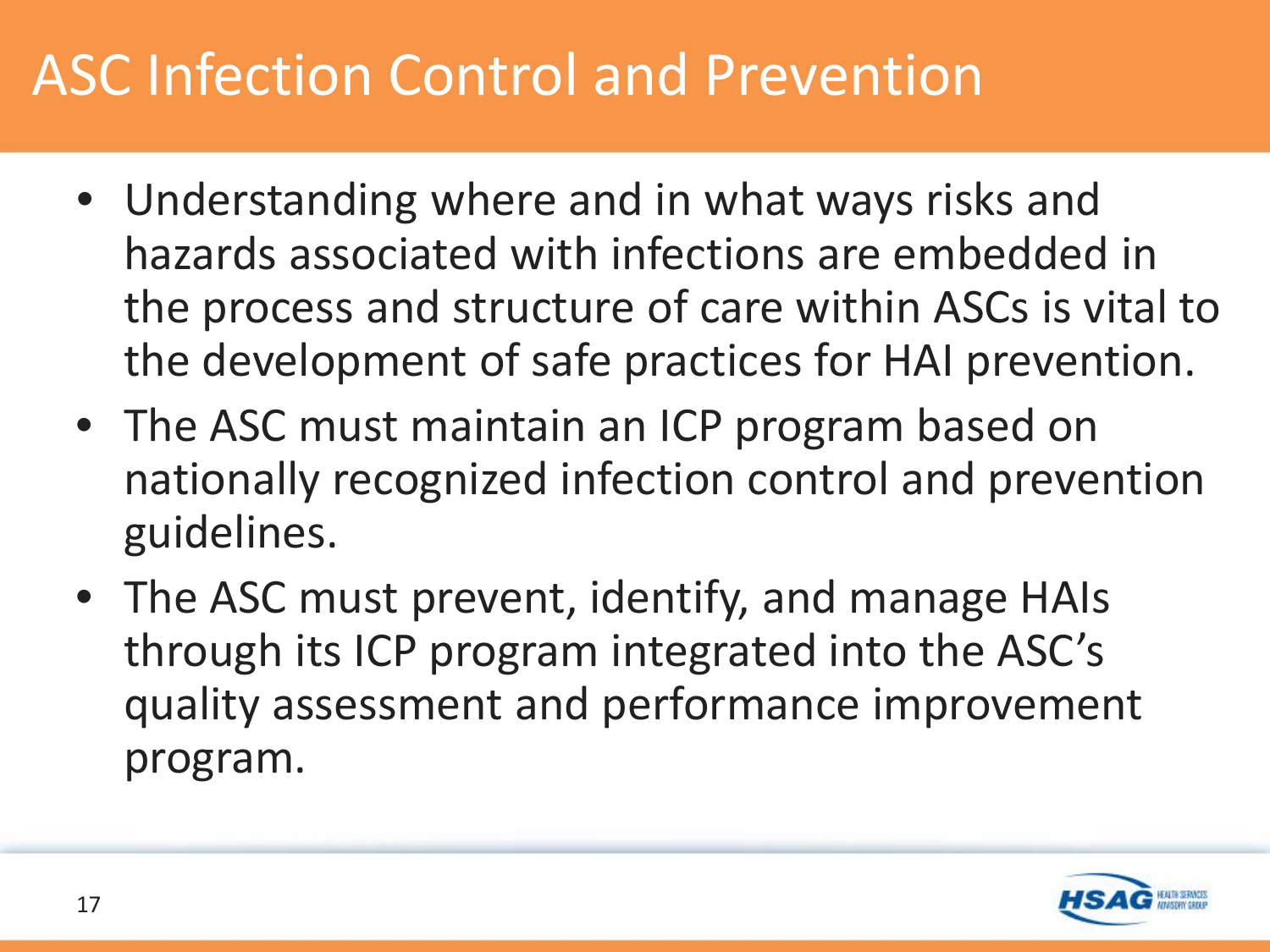#### ASC Infection Control and Prevention

- Understanding where and in what ways risks and hazards associated with infections are embedded in the process and structure of care within ASCs is vital to the development of safe practices for HAI prevention.
- The ASC must maintain an ICP program based on nationally recognized infection control and prevention guidelines.
- The ASC must prevent, identify, and manage HAIs through its ICP program integrated into the ASC's quality assessment and performance improvement program.

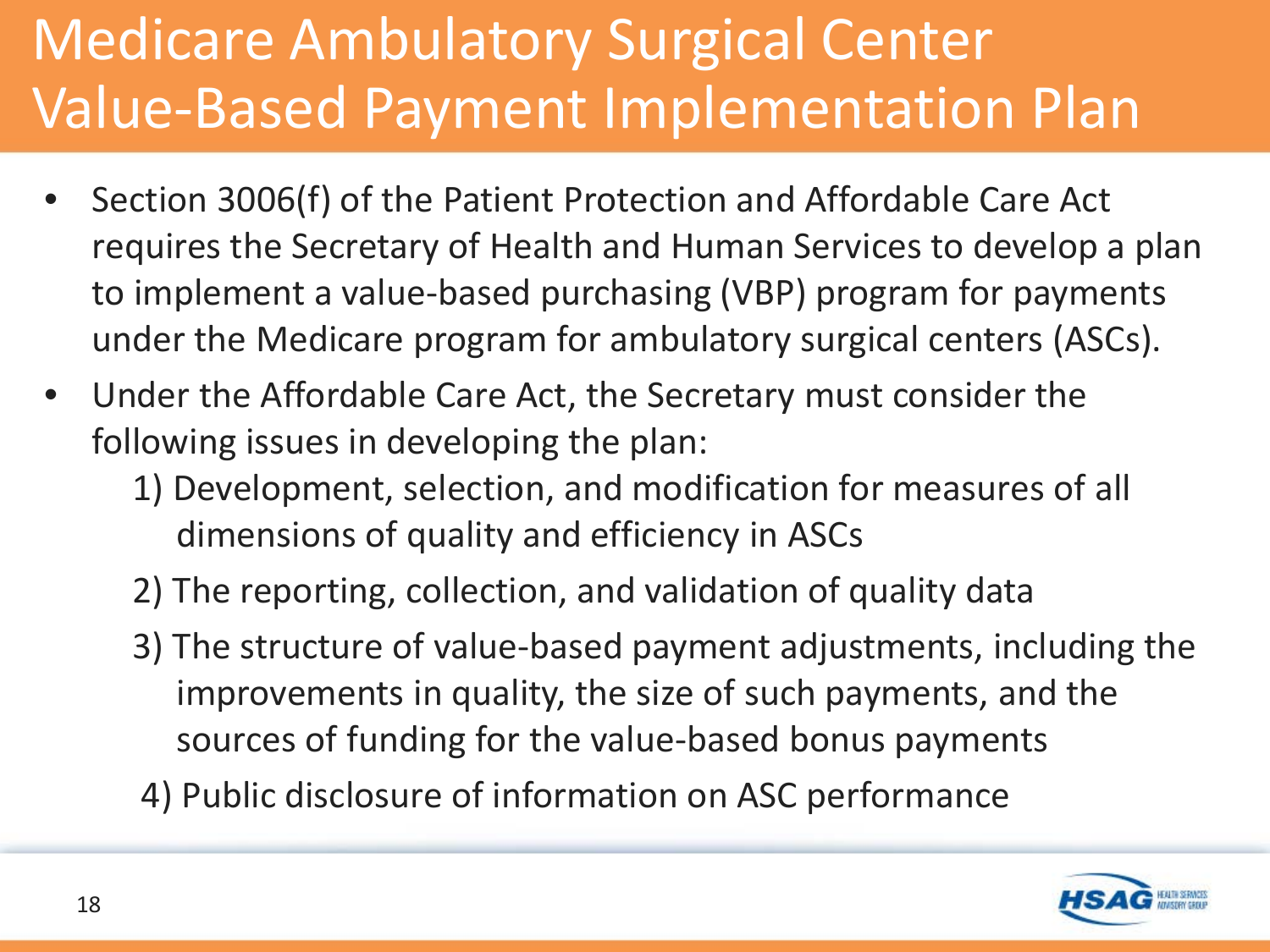## Medicare Ambulatory Surgical Center Value-Based Payment Implementation Plan

- Section 3006(f) of the Patient Protection and Affordable Care Act requires the Secretary of Health and Human Services to develop a plan to implement a value-based purchasing (VBP) program for payments under the Medicare program for ambulatory surgical centers (ASCs).
- Under the Affordable Care Act, the Secretary must consider the following issues in developing the plan:
	- 1) Development, selection, and modification for measures of all dimensions of quality and efficiency in ASCs
	- 2) The reporting, collection, and validation of quality data
	- 3) The structure of value-based payment adjustments, including the improvements in quality, the size of such payments, and the sources of funding for the value-based bonus payments
	- 4) Public disclosure of information on ASC performance

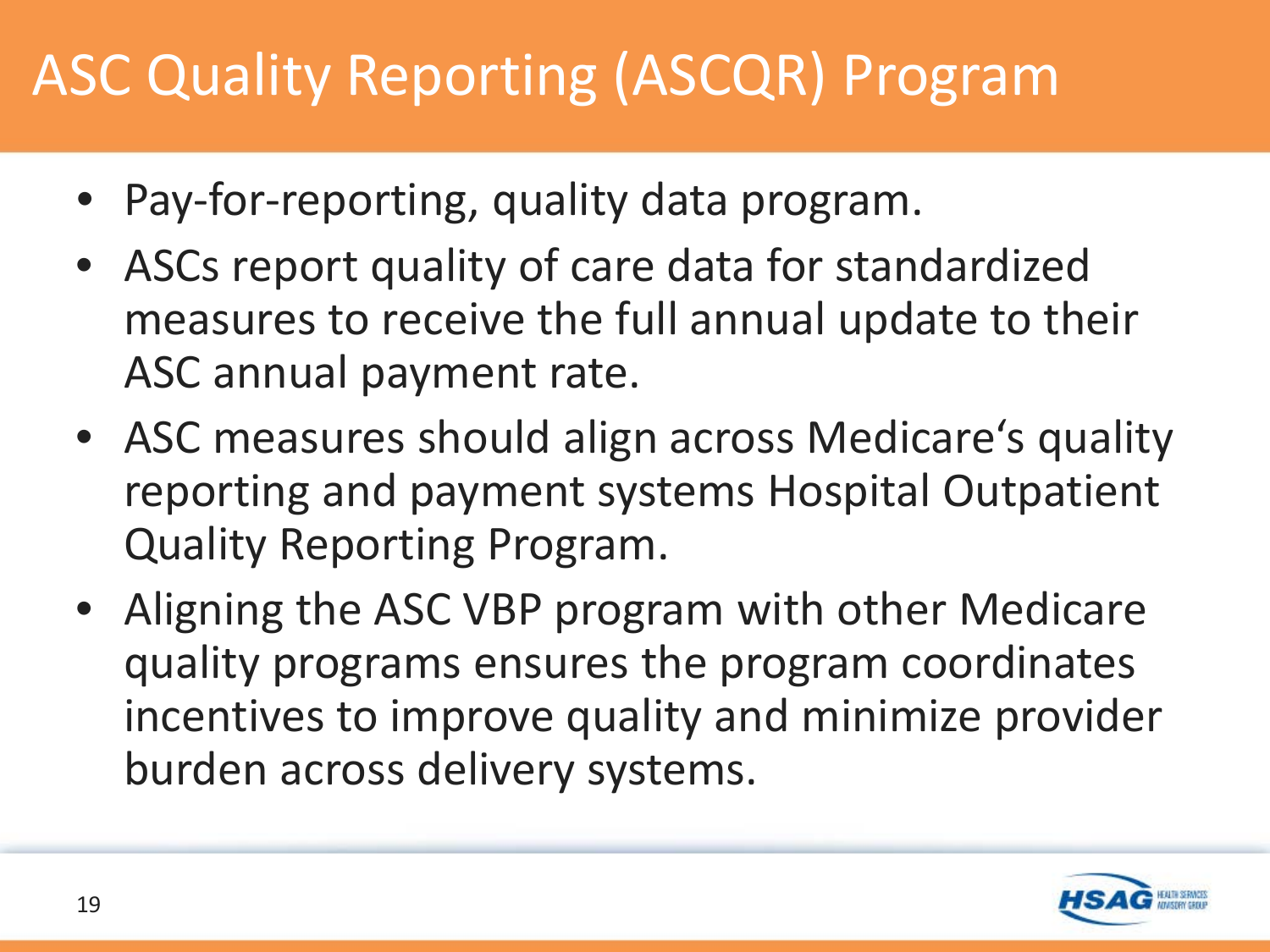## ASC Quality Reporting (ASCQR) Program

- Pay-for-reporting, quality data program.
- ASCs report quality of care data for standardized measures to receive the full annual update to their ASC annual payment rate.
- ASC measures should align across Medicare's quality reporting and payment systems Hospital Outpatient Quality Reporting Program.
- Aligning the ASC VBP program with other Medicare quality programs ensures the program coordinates incentives to improve quality and minimize provider burden across delivery systems.

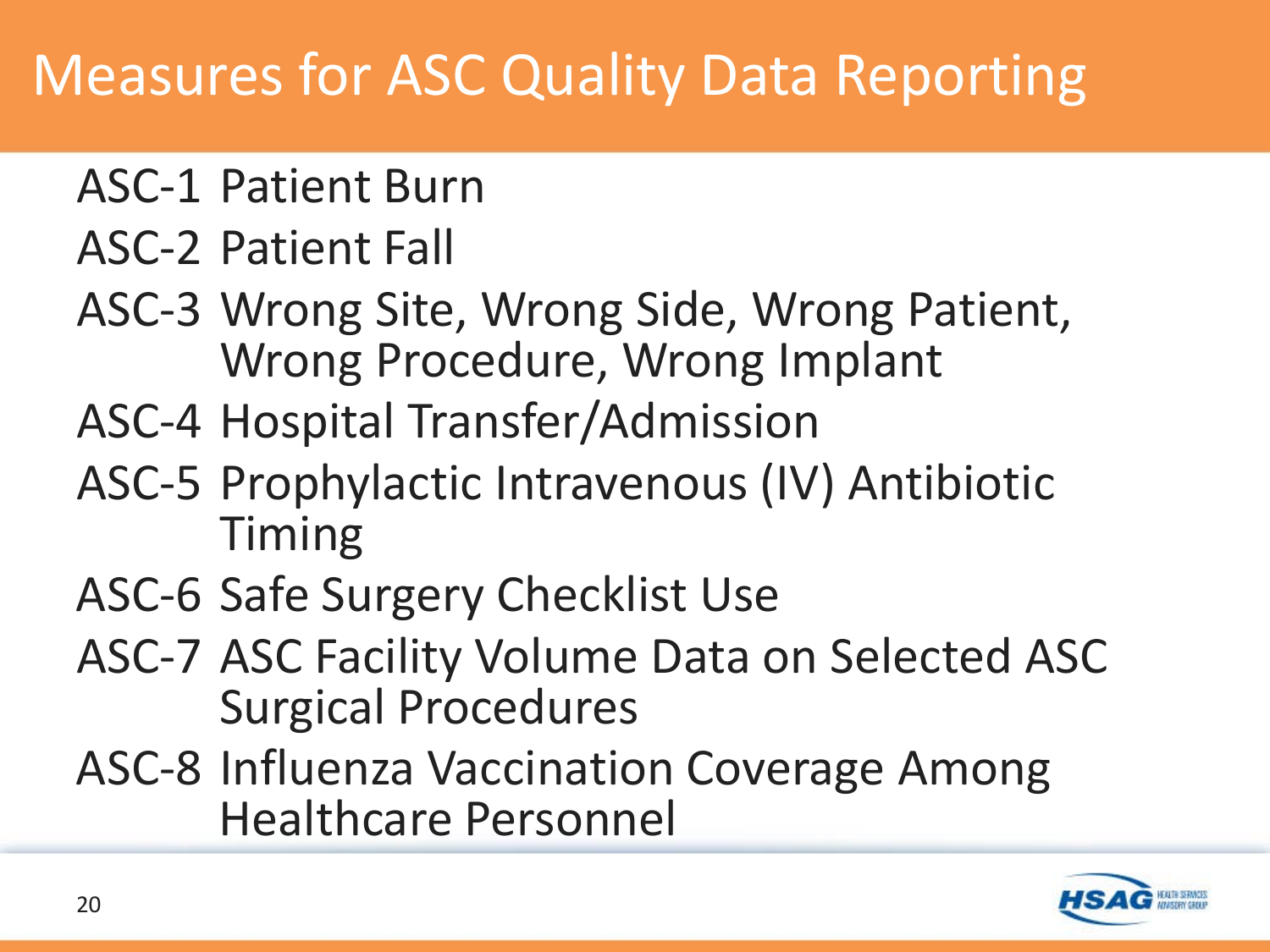#### Measures for ASC Quality Data Reporting

- ASC-1 Patient Burn
- ASC-2 Patient Fall
- ASC-3 Wrong Site, Wrong Side, Wrong Patient, Wrong Procedure, Wrong Implant
- ASC-4 Hospital Transfer/Admission
- ASC-5 Prophylactic Intravenous (IV) Antibiotic Timing
- ASC-6 Safe Surgery Checklist Use
- ASC-7 ASC Facility Volume Data on Selected ASC Surgical Procedures
- ASC-8 Influenza Vaccination Coverage Among Healthcare Personnel

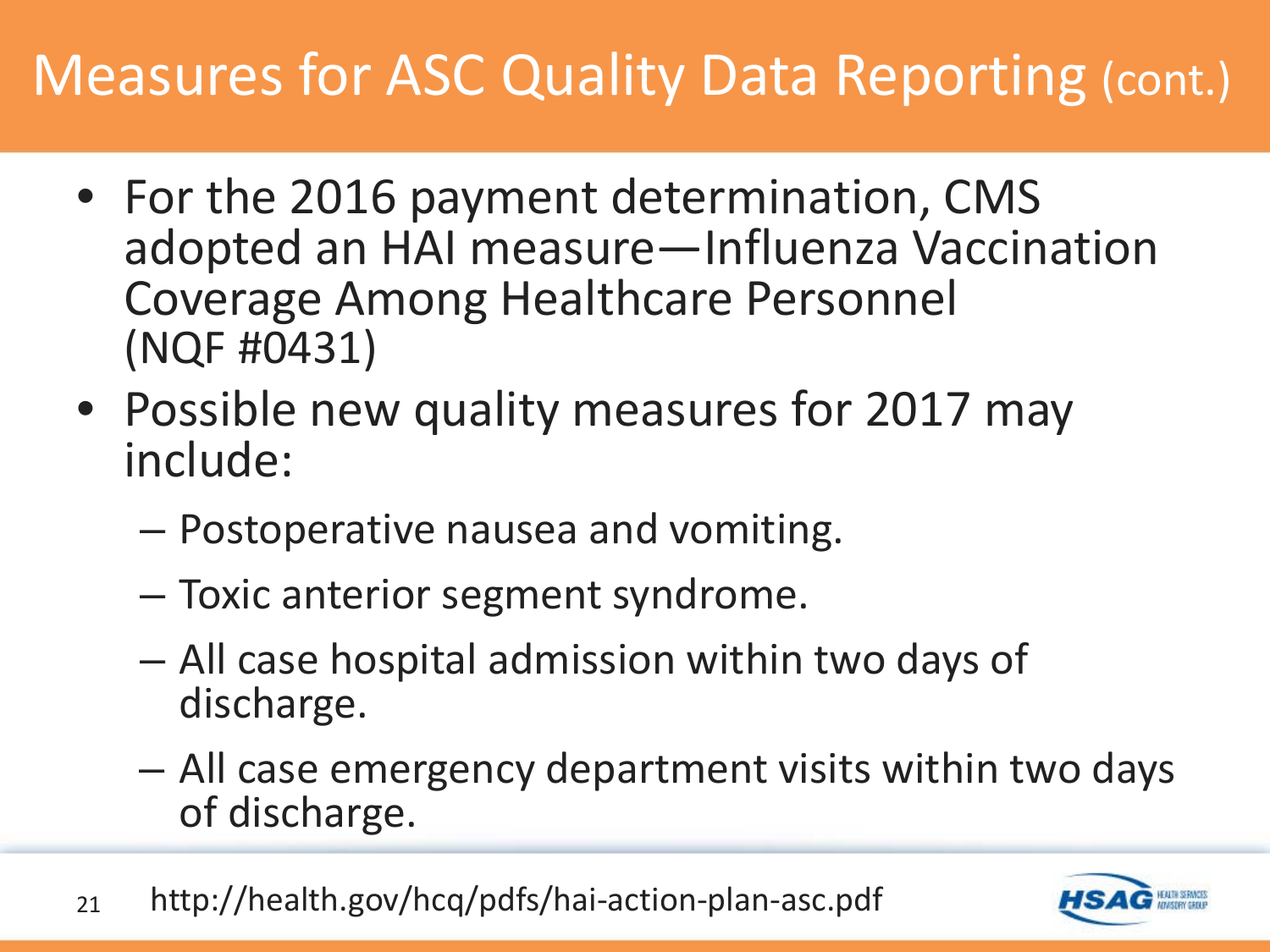#### Measures for ASC Quality Data Reporting (cont.)

- For the 2016 payment determination, CMS adopted an HAI measure—Influenza Vaccination Coverage Among Healthcare Personnel (NQF #0431)
- Possible new quality measures for 2017 may include:
	- Postoperative nausea and vomiting.
	- Toxic anterior segment syndrome.
	- All case hospital admission within two days of discharge.
	- All case emergency department visits within two days of discharge.
- 21 http://health.gov/hcq/pdfs/hai-action-plan-asc.pdf

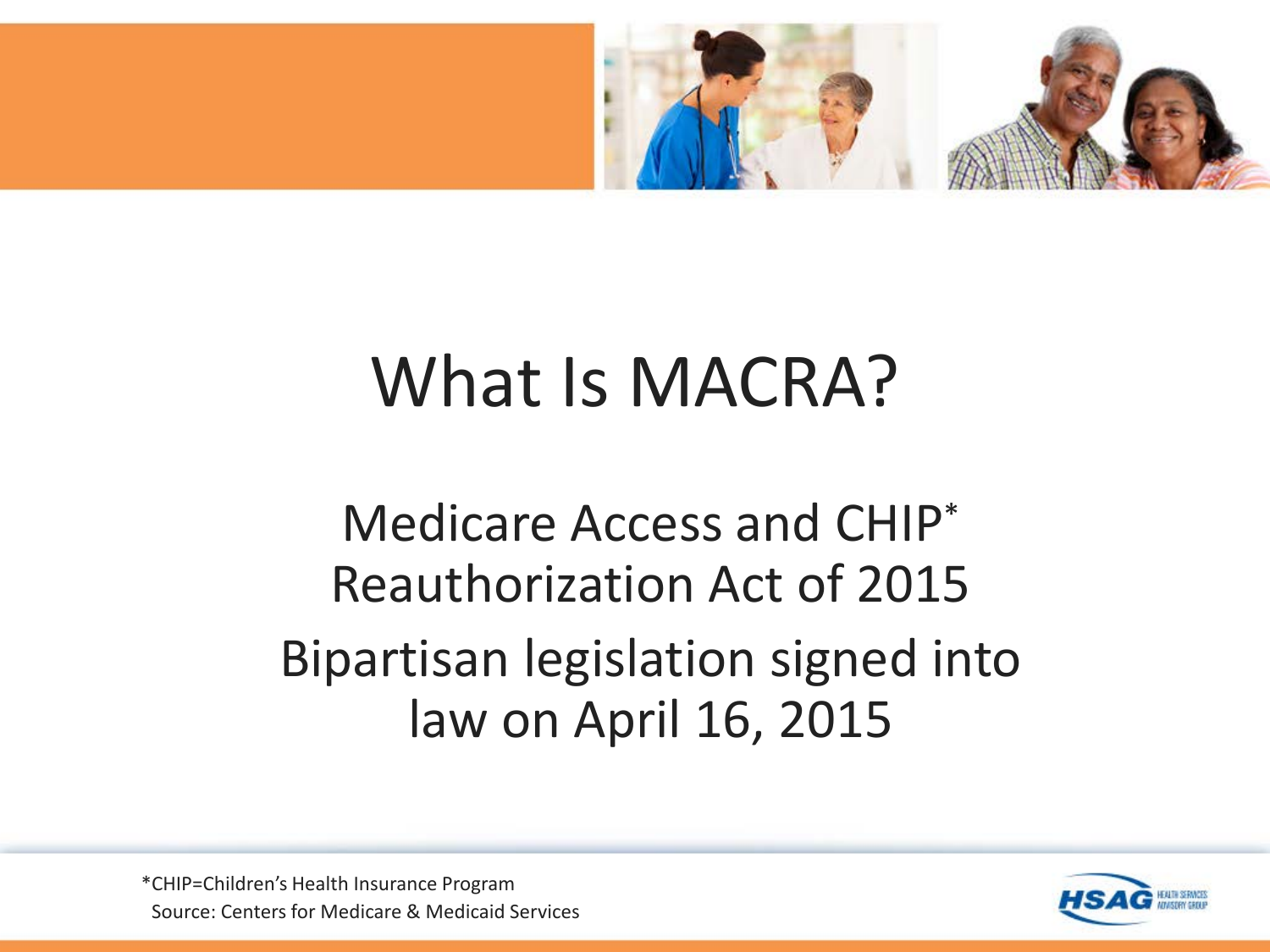

# What Is MACRA?

#### Medicare Access and CHIP\* Reauthorization Act of 2015 Bipartisan legislation signed into law on April 16, 2015

Source: Centers for Medicare & Medicaid Services \*CHIP=Children's Health Insurance Program

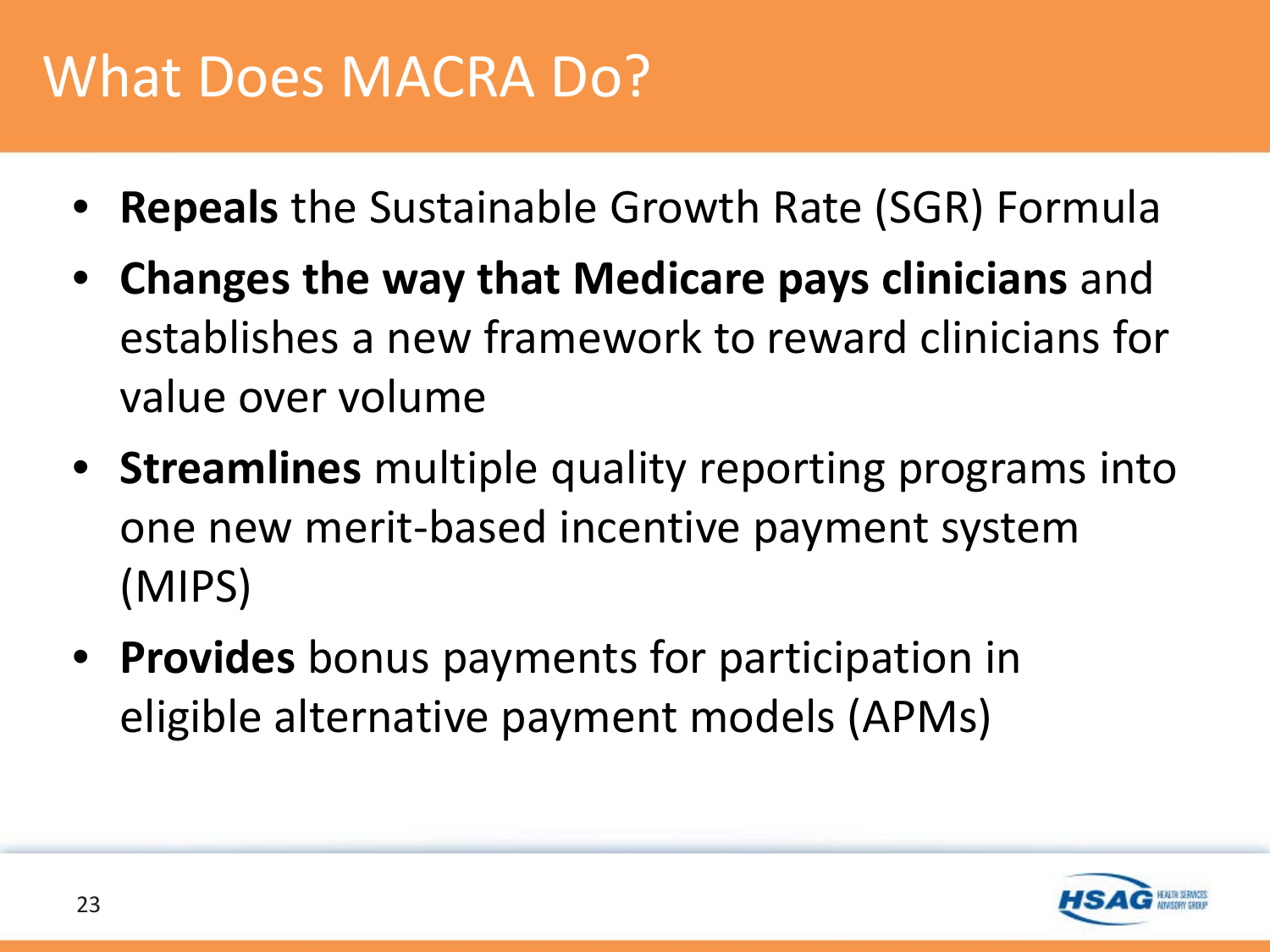## What Does MACRA Do?

- **Repeals** the Sustainable Growth Rate (SGR) Formula
- **Changes the way that Medicare pays clinicians** and establishes a new framework to reward clinicians for value over volume
- **Streamlines** multiple quality reporting programs into one new merit-based incentive payment system (MIPS)
- **Provides** bonus payments for participation in eligible alternative payment models (APMs)

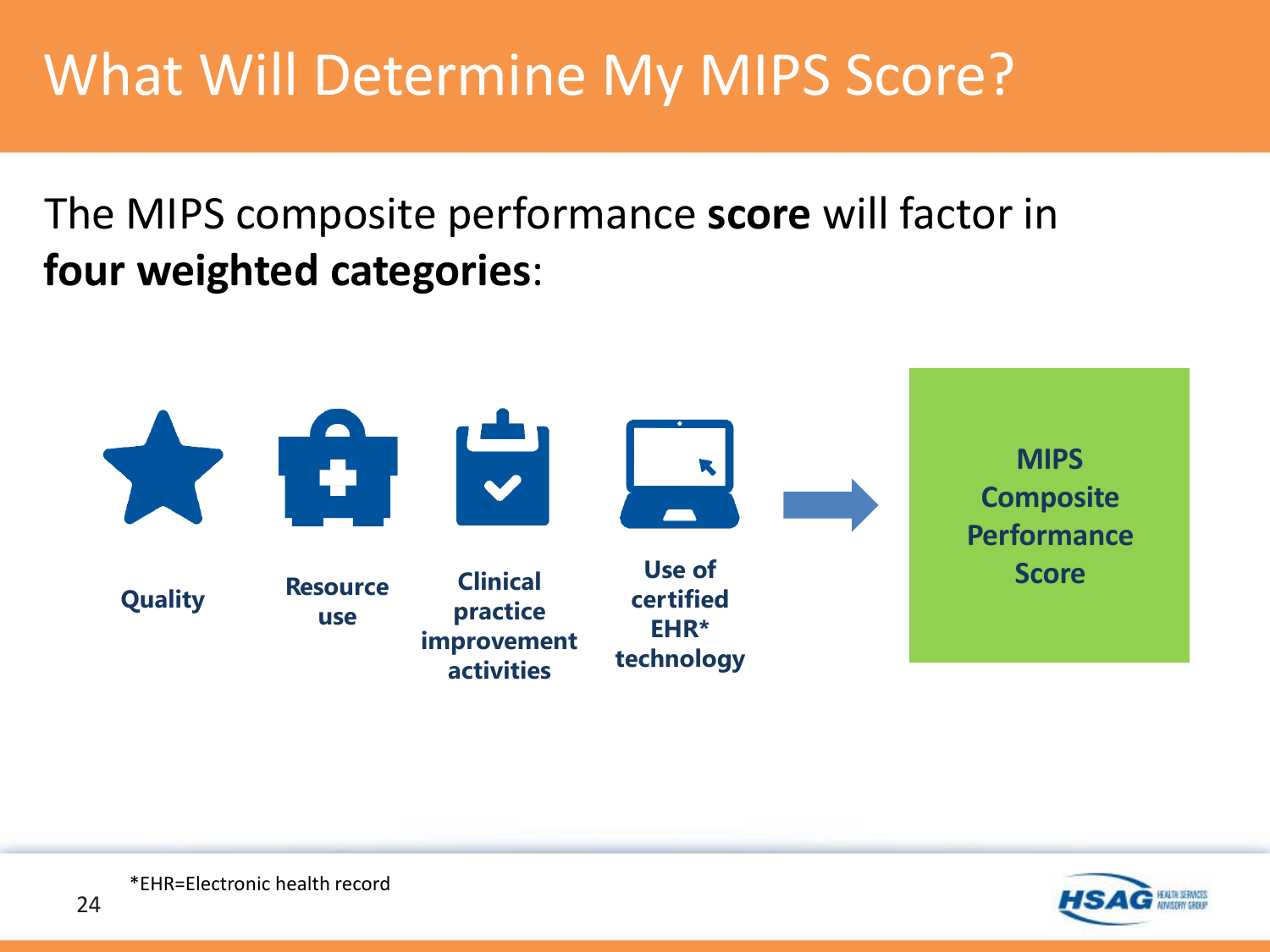## What Will Determine My MIPS Score?

The MIPS composite performance **score** will factor in **four weighted categories**:



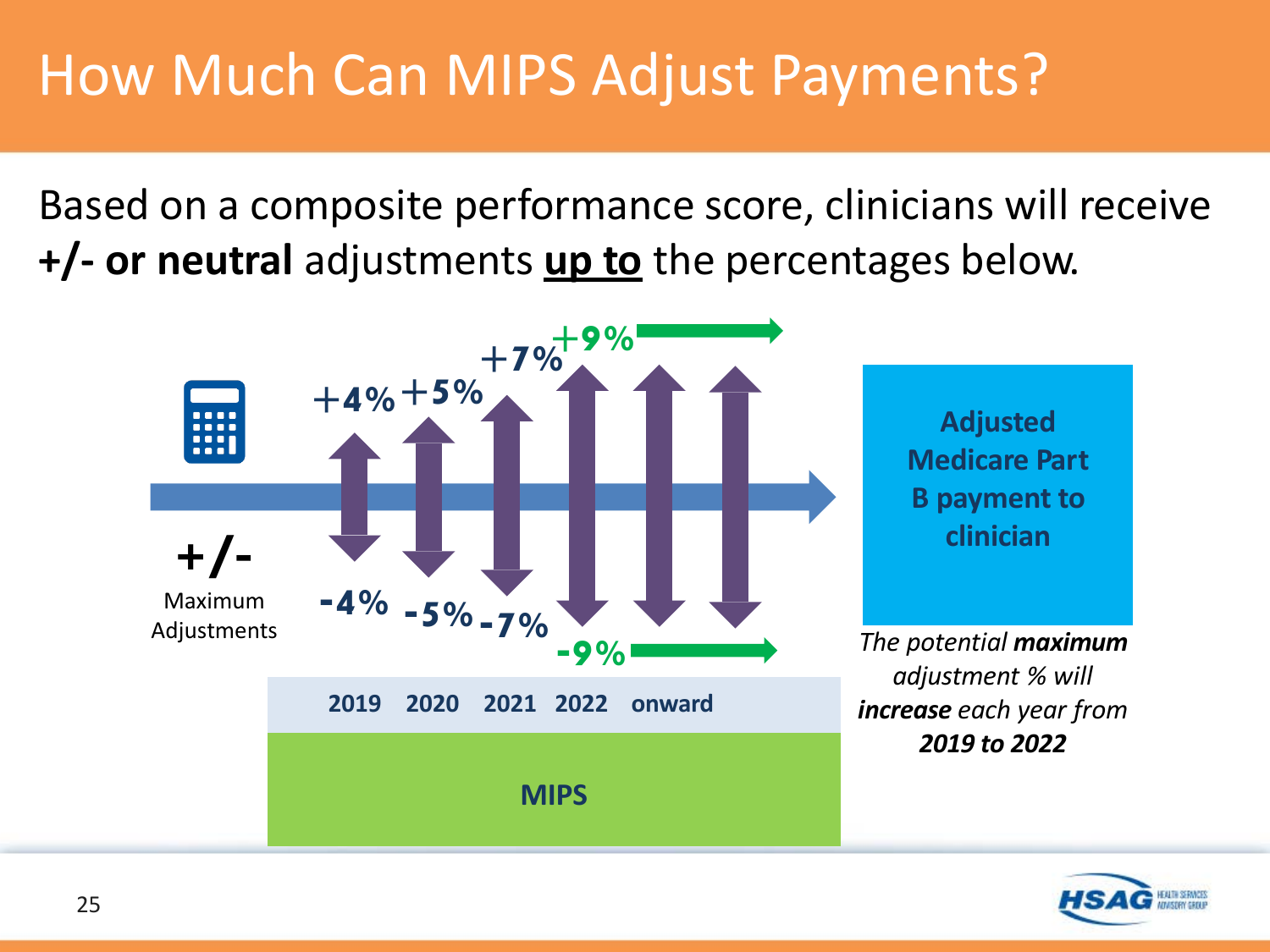#### How Much Can MIPS Adjust Payments?

Based on a composite performance score, clinicians will receive **+/- or neutral** adjustments **up to** the percentages below.



![](_page_24_Picture_3.jpeg)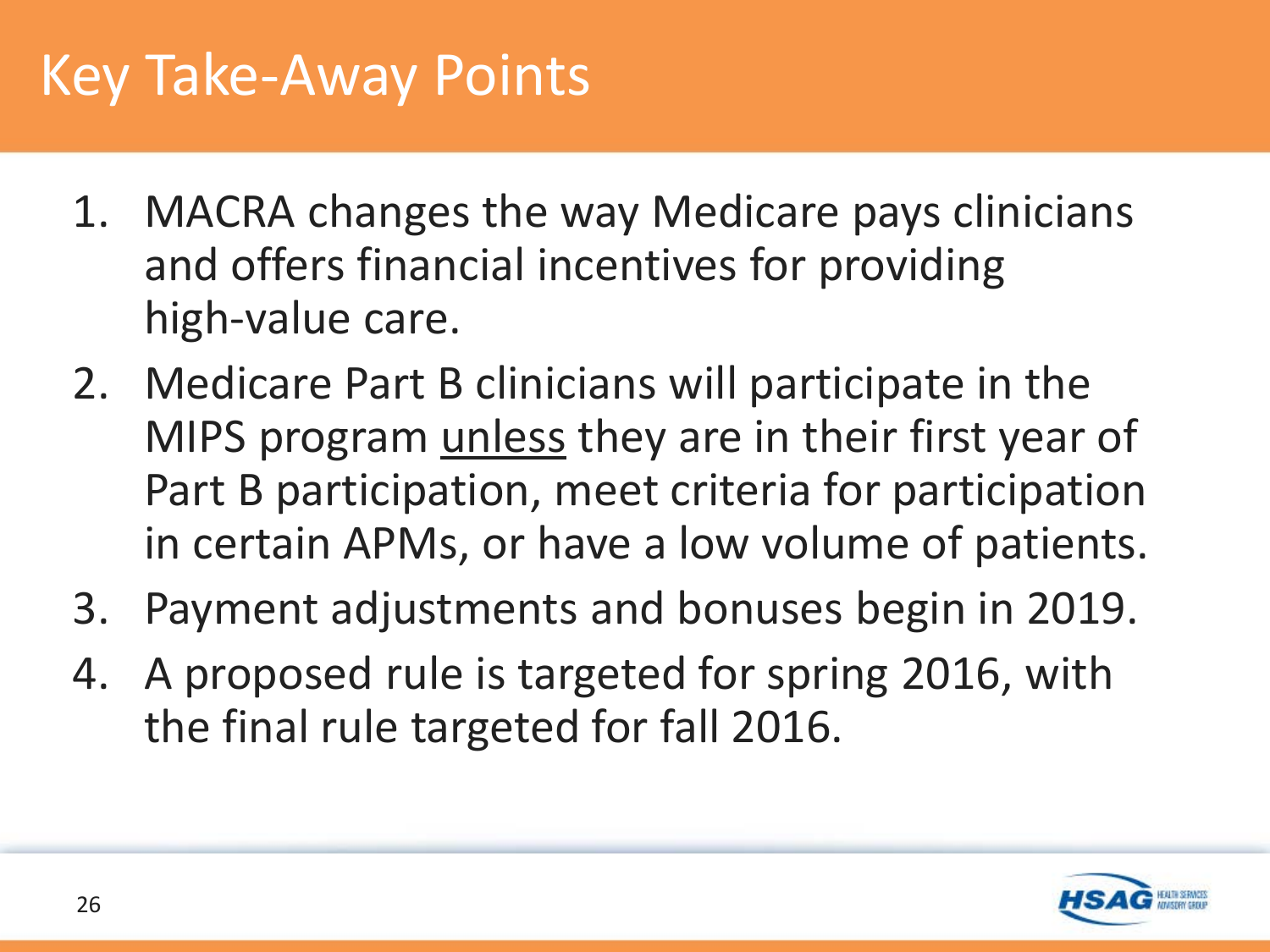#### Key Take-Away Points

- 1. MACRA changes the way Medicare pays clinicians and offers financial incentives for providing high-value care.
- 2. Medicare Part B clinicians will participate in the MIPS program unless they are in their first year of Part B participation, meet criteria for participation in certain APMs, or have a low volume of patients.
- 3. Payment adjustments and bonuses begin in 2019.
- 4. A proposed rule is targeted for spring 2016, with the final rule targeted for fall 2016.

![](_page_25_Picture_5.jpeg)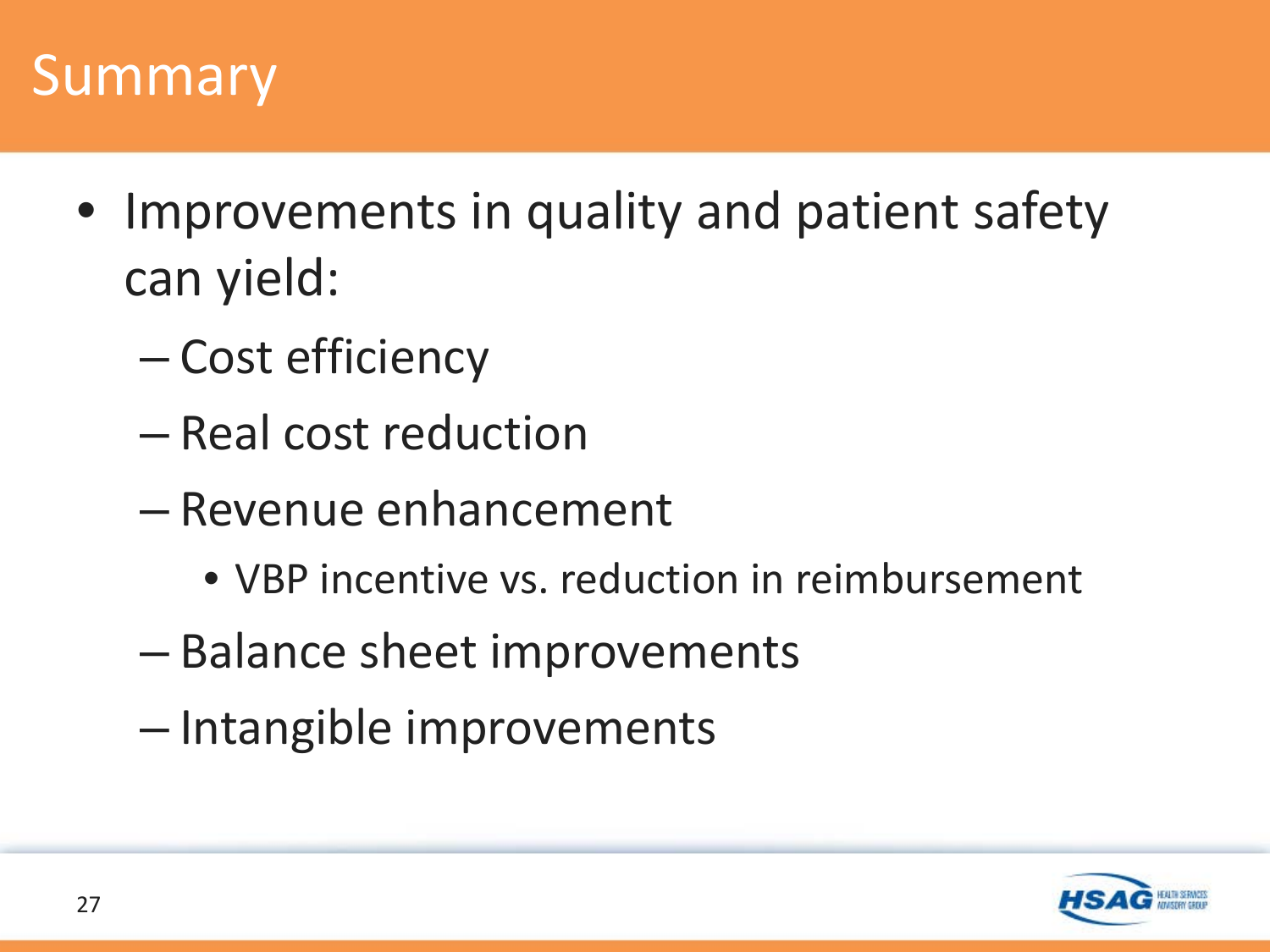#### Summary

- Improvements in quality and patient safety can yield:
	- Cost efficiency
	- Real cost reduction
	- Revenue enhancement
		- VBP incentive vs. reduction in reimbursement
	- Balance sheet improvements
	- Intangible improvements

![](_page_26_Picture_8.jpeg)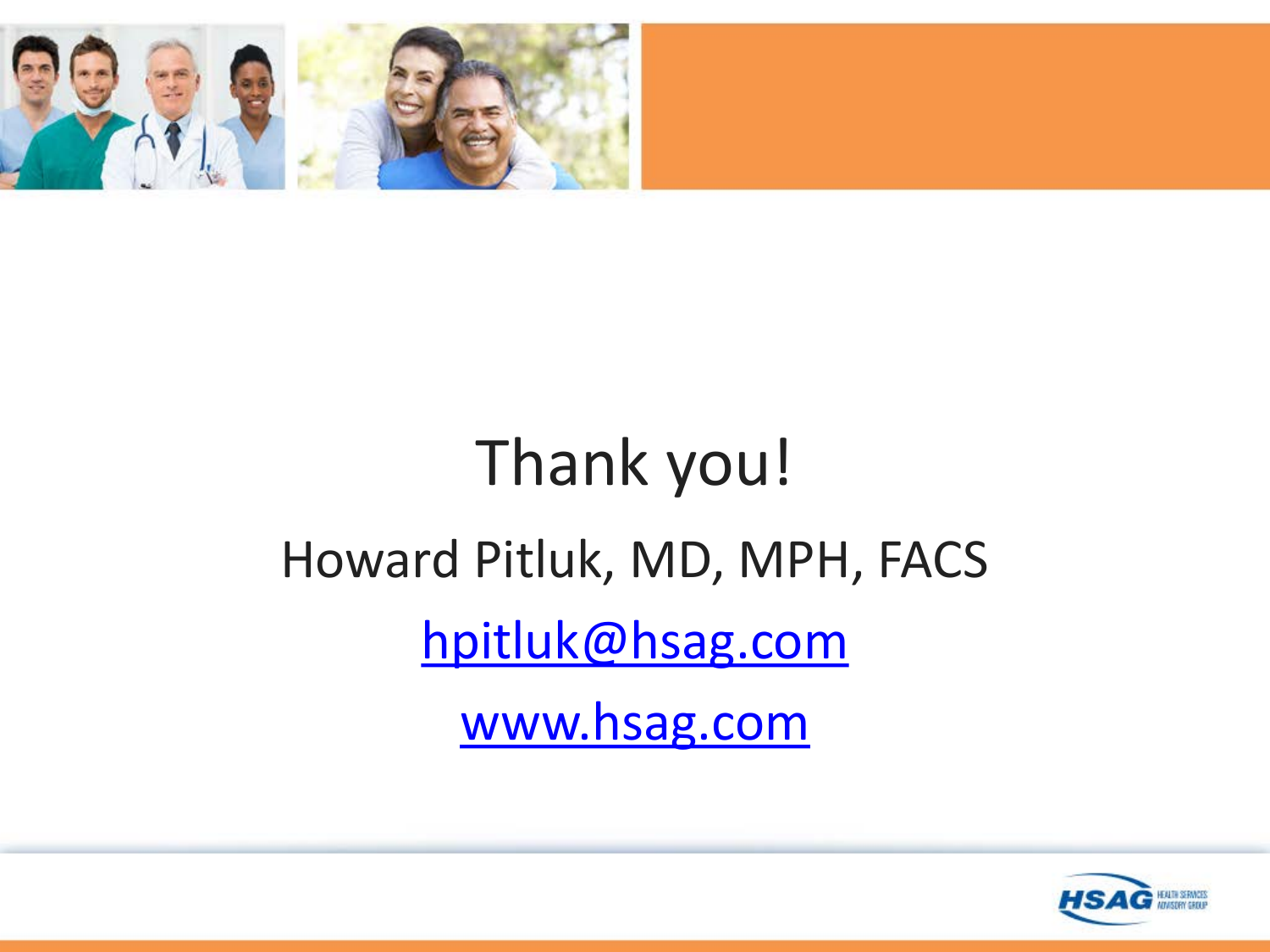![](_page_27_Picture_0.jpeg)

# Thank you! Howard Pitluk, MD, MPH, FACS [hpitluk@hsag.com](mailto:Hpitluk@hsag.com) [www.hsag.com](http://www.hsag.com/)

![](_page_27_Picture_2.jpeg)